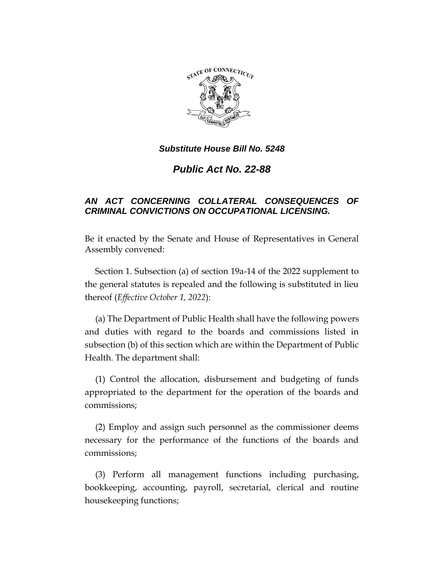

# *Public Act No. 22-88*

# *AN ACT CONCERNING COLLATERAL CONSEQUENCES OF CRIMINAL CONVICTIONS ON OCCUPATIONAL LICENSING.*

Be it enacted by the Senate and House of Representatives in General Assembly convened:

Section 1. Subsection (a) of section 19a-14 of the 2022 supplement to the general statutes is repealed and the following is substituted in lieu thereof (*Effective October 1, 2022*):

(a) The Department of Public Health shall have the following powers and duties with regard to the boards and commissions listed in subsection (b) of this section which are within the Department of Public Health. The department shall:

(1) Control the allocation, disbursement and budgeting of funds appropriated to the department for the operation of the boards and commissions;

(2) Employ and assign such personnel as the commissioner deems necessary for the performance of the functions of the boards and commissions;

(3) Perform all management functions including purchasing, bookkeeping, accounting, payroll, secretarial, clerical and routine housekeeping functions;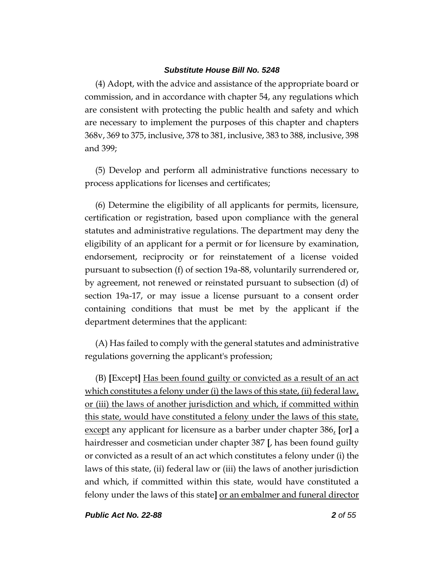(4) Adopt, with the advice and assistance of the appropriate board or commission, and in accordance with chapter 54, any regulations which are consistent with protecting the public health and safety and which are necessary to implement the purposes of this chapter and chapters 368v, 369 to 375, inclusive, 378 to 381, inclusive, 383 to 388, inclusive, 398 and 399;

(5) Develop and perform all administrative functions necessary to process applications for licenses and certificates;

(6) Determine the eligibility of all applicants for permits, licensure, certification or registration, based upon compliance with the general statutes and administrative regulations. The department may deny the eligibility of an applicant for a permit or for licensure by examination, endorsement, reciprocity or for reinstatement of a license voided pursuant to subsection (f) of section 19a-88, voluntarily surrendered or, by agreement, not renewed or reinstated pursuant to subsection (d) of section 19a-17, or may issue a license pursuant to a consent order containing conditions that must be met by the applicant if the department determines that the applicant:

(A) Has failed to comply with the general statutes and administrative regulations governing the applicant's profession;

(B) **[**Except**]** Has been found guilty or convicted as a result of an act which constitutes a felony under (i) the laws of this state, (ii) federal law, or (iii) the laws of another jurisdiction and which, if committed within this state, would have constituted a felony under the laws of this state, except any applicant for licensure as a barber under chapter 386, **[**or**]** a hairdresser and cosmetician under chapter 387 **[**, has been found guilty or convicted as a result of an act which constitutes a felony under (i) the laws of this state, (ii) federal law or (iii) the laws of another jurisdiction and which, if committed within this state, would have constituted a felony under the laws of this state**]** or an embalmer and funeral director

*Public Act No. 22-88 2 of 55*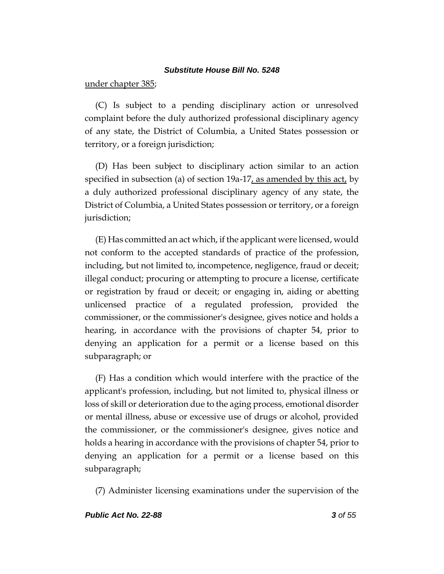under chapter 385;

(C) Is subject to a pending disciplinary action or unresolved complaint before the duly authorized professional disciplinary agency of any state, the District of Columbia, a United States possession or territory, or a foreign jurisdiction;

(D) Has been subject to disciplinary action similar to an action specified in subsection (a) of section 19a-17, as amended by this  $\text{act}_t$  by a duly authorized professional disciplinary agency of any state, the District of Columbia, a United States possession or territory, or a foreign jurisdiction;

(E) Has committed an act which, if the applicant were licensed, would not conform to the accepted standards of practice of the profession, including, but not limited to, incompetence, negligence, fraud or deceit; illegal conduct; procuring or attempting to procure a license, certificate or registration by fraud or deceit; or engaging in, aiding or abetting unlicensed practice of a regulated profession, provided the commissioner, or the commissioner's designee, gives notice and holds a hearing, in accordance with the provisions of chapter 54, prior to denying an application for a permit or a license based on this subparagraph; or

(F) Has a condition which would interfere with the practice of the applicant's profession, including, but not limited to, physical illness or loss of skill or deterioration due to the aging process, emotional disorder or mental illness, abuse or excessive use of drugs or alcohol, provided the commissioner, or the commissioner's designee, gives notice and holds a hearing in accordance with the provisions of chapter 54, prior to denying an application for a permit or a license based on this subparagraph;

(7) Administer licensing examinations under the supervision of the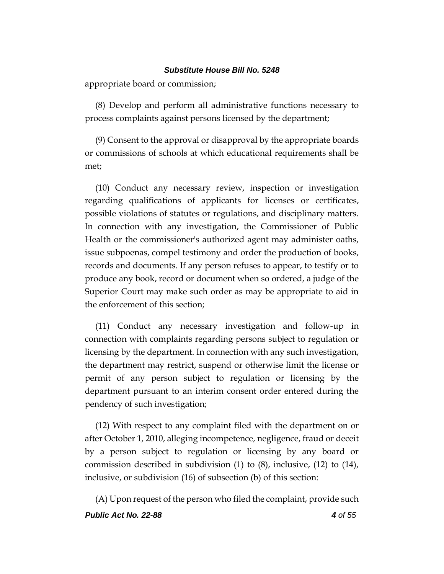appropriate board or commission;

(8) Develop and perform all administrative functions necessary to process complaints against persons licensed by the department;

(9) Consent to the approval or disapproval by the appropriate boards or commissions of schools at which educational requirements shall be met;

(10) Conduct any necessary review, inspection or investigation regarding qualifications of applicants for licenses or certificates, possible violations of statutes or regulations, and disciplinary matters. In connection with any investigation, the Commissioner of Public Health or the commissioner's authorized agent may administer oaths, issue subpoenas, compel testimony and order the production of books, records and documents. If any person refuses to appear, to testify or to produce any book, record or document when so ordered, a judge of the Superior Court may make such order as may be appropriate to aid in the enforcement of this section;

(11) Conduct any necessary investigation and follow-up in connection with complaints regarding persons subject to regulation or licensing by the department. In connection with any such investigation, the department may restrict, suspend or otherwise limit the license or permit of any person subject to regulation or licensing by the department pursuant to an interim consent order entered during the pendency of such investigation;

(12) With respect to any complaint filed with the department on or after October 1, 2010, alleging incompetence, negligence, fraud or deceit by a person subject to regulation or licensing by any board or commission described in subdivision (1) to (8), inclusive, (12) to (14), inclusive, or subdivision (16) of subsection (b) of this section:

*Public Act No. 22-88 4 of 55* (A) Upon request of the person who filed the complaint, provide such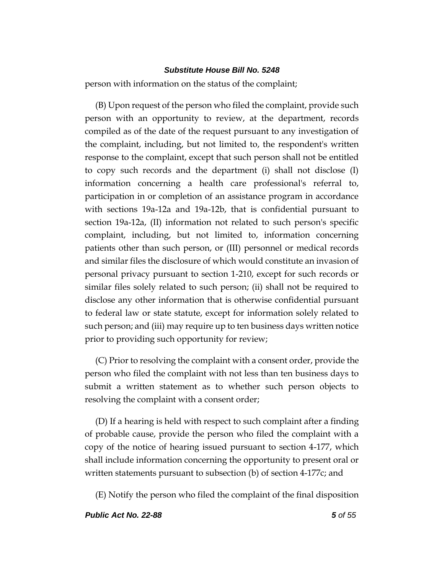person with information on the status of the complaint;

(B) Upon request of the person who filed the complaint, provide such person with an opportunity to review, at the department, records compiled as of the date of the request pursuant to any investigation of the complaint, including, but not limited to, the respondent's written response to the complaint, except that such person shall not be entitled to copy such records and the department (i) shall not disclose (I) information concerning a health care professional's referral to, participation in or completion of an assistance program in accordance with sections 19a-12a and 19a-12b, that is confidential pursuant to section 19a-12a, (II) information not related to such person's specific complaint, including, but not limited to, information concerning patients other than such person, or (III) personnel or medical records and similar files the disclosure of which would constitute an invasion of personal privacy pursuant to section 1-210, except for such records or similar files solely related to such person; (ii) shall not be required to disclose any other information that is otherwise confidential pursuant to federal law or state statute, except for information solely related to such person; and (iii) may require up to ten business days written notice prior to providing such opportunity for review;

(C) Prior to resolving the complaint with a consent order, provide the person who filed the complaint with not less than ten business days to submit a written statement as to whether such person objects to resolving the complaint with a consent order;

(D) If a hearing is held with respect to such complaint after a finding of probable cause, provide the person who filed the complaint with a copy of the notice of hearing issued pursuant to section 4-177, which shall include information concerning the opportunity to present oral or written statements pursuant to subsection (b) of section 4-177c; and

(E) Notify the person who filed the complaint of the final disposition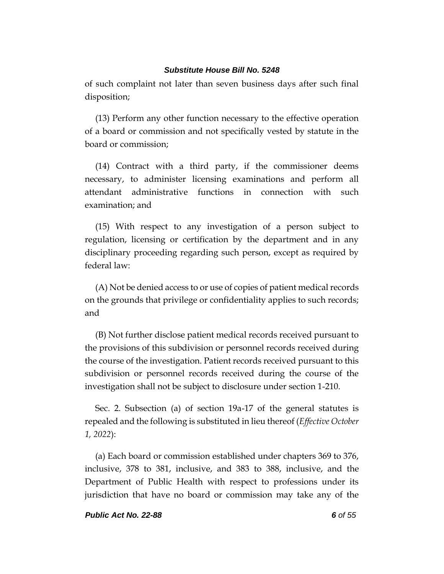of such complaint not later than seven business days after such final disposition;

(13) Perform any other function necessary to the effective operation of a board or commission and not specifically vested by statute in the board or commission;

(14) Contract with a third party, if the commissioner deems necessary, to administer licensing examinations and perform all attendant administrative functions in connection with such examination; and

(15) With respect to any investigation of a person subject to regulation, licensing or certification by the department and in any disciplinary proceeding regarding such person, except as required by federal law:

(A) Not be denied access to or use of copies of patient medical records on the grounds that privilege or confidentiality applies to such records; and

(B) Not further disclose patient medical records received pursuant to the provisions of this subdivision or personnel records received during the course of the investigation. Patient records received pursuant to this subdivision or personnel records received during the course of the investigation shall not be subject to disclosure under section 1-210.

Sec. 2. Subsection (a) of section 19a-17 of the general statutes is repealed and the following is substituted in lieu thereof (*Effective October 1, 2022*):

(a) Each board or commission established under chapters 369 to 376, inclusive, 378 to 381, inclusive, and 383 to 388, inclusive, and the Department of Public Health with respect to professions under its jurisdiction that have no board or commission may take any of the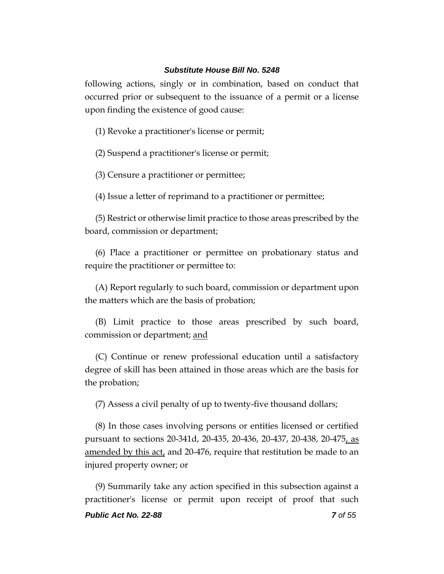following actions, singly or in combination, based on conduct that occurred prior or subsequent to the issuance of a permit or a license upon finding the existence of good cause:

(1) Revoke a practitioner's license or permit;

(2) Suspend a practitioner's license or permit;

(3) Censure a practitioner or permittee;

(4) Issue a letter of reprimand to a practitioner or permittee;

(5) Restrict or otherwise limit practice to those areas prescribed by the board, commission or department;

(6) Place a practitioner or permittee on probationary status and require the practitioner or permittee to:

(A) Report regularly to such board, commission or department upon the matters which are the basis of probation;

(B) Limit practice to those areas prescribed by such board, commission or department; and

(C) Continue or renew professional education until a satisfactory degree of skill has been attained in those areas which are the basis for the probation;

(7) Assess a civil penalty of up to twenty-five thousand dollars;

(8) In those cases involving persons or entities licensed or certified pursuant to sections 20-341d, 20-435, 20-436, 20-437, 20-438, 20-475, as amended by this act, and 20-476, require that restitution be made to an injured property owner; or

(9) Summarily take any action specified in this subsection against a practitioner's license or permit upon receipt of proof that such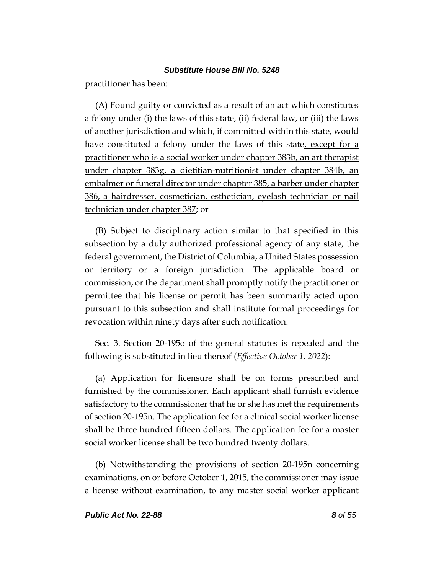practitioner has been:

(A) Found guilty or convicted as a result of an act which constitutes a felony under (i) the laws of this state, (ii) federal law, or (iii) the laws of another jurisdiction and which, if committed within this state, would have constituted a felony under the laws of this state, except for a practitioner who is a social worker under chapter 383b, an art therapist under chapter 383g, a dietitian-nutritionist under chapter 384b, an embalmer or funeral director under chapter 385, a barber under chapter 386, a hairdresser, cosmetician, esthetician, eyelash technician or nail technician under chapter 387; or

(B) Subject to disciplinary action similar to that specified in this subsection by a duly authorized professional agency of any state, the federal government, the District of Columbia, a United States possession or territory or a foreign jurisdiction. The applicable board or commission, or the department shall promptly notify the practitioner or permittee that his license or permit has been summarily acted upon pursuant to this subsection and shall institute formal proceedings for revocation within ninety days after such notification.

Sec. 3. Section 20-195o of the general statutes is repealed and the following is substituted in lieu thereof (*Effective October 1, 2022*):

(a) Application for licensure shall be on forms prescribed and furnished by the commissioner. Each applicant shall furnish evidence satisfactory to the commissioner that he or she has met the requirements of section 20-195n. The application fee for a clinical social worker license shall be three hundred fifteen dollars. The application fee for a master social worker license shall be two hundred twenty dollars.

(b) Notwithstanding the provisions of section 20-195n concerning examinations, on or before October 1, 2015, the commissioner may issue a license without examination, to any master social worker applicant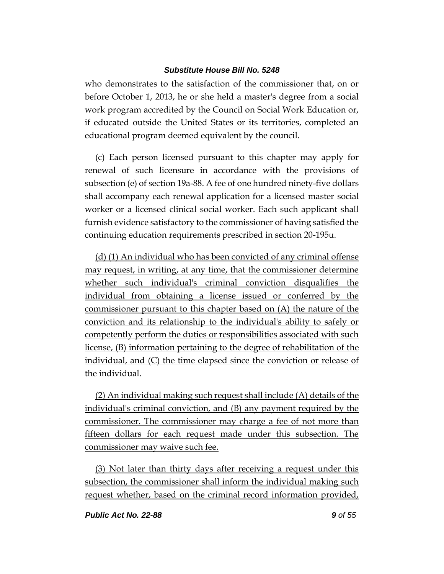who demonstrates to the satisfaction of the commissioner that, on or before October 1, 2013, he or she held a master's degree from a social work program accredited by the Council on Social Work Education or, if educated outside the United States or its territories, completed an educational program deemed equivalent by the council.

(c) Each person licensed pursuant to this chapter may apply for renewal of such licensure in accordance with the provisions of subsection (e) of section 19a-88. A fee of one hundred ninety-five dollars shall accompany each renewal application for a licensed master social worker or a licensed clinical social worker. Each such applicant shall furnish evidence satisfactory to the commissioner of having satisfied the continuing education requirements prescribed in section 20-195u.

(d) (1) An individual who has been convicted of any criminal offense may request, in writing, at any time, that the commissioner determine whether such individual's criminal conviction disqualifies the individual from obtaining a license issued or conferred by the commissioner pursuant to this chapter based on (A) the nature of the conviction and its relationship to the individual's ability to safely or competently perform the duties or responsibilities associated with such license, (B) information pertaining to the degree of rehabilitation of the individual, and (C) the time elapsed since the conviction or release of the individual.

(2) An individual making such request shall include (A) details of the individual's criminal conviction, and (B) any payment required by the commissioner. The commissioner may charge a fee of not more than fifteen dollars for each request made under this subsection. The commissioner may waive such fee.

(3) Not later than thirty days after receiving a request under this subsection, the commissioner shall inform the individual making such request whether, based on the criminal record information provided,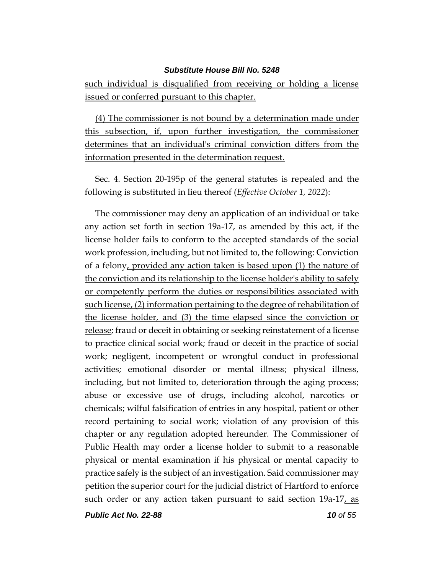such individual is disqualified from receiving or holding a license issued or conferred pursuant to this chapter.

(4) The commissioner is not bound by a determination made under this subsection, if, upon further investigation, the commissioner determines that an individual's criminal conviction differs from the information presented in the determination request.

Sec. 4. Section 20-195p of the general statutes is repealed and the following is substituted in lieu thereof (*Effective October 1, 2022*):

The commissioner may deny an application of an individual or take any action set forth in section 19a-17, as amended by this act, if the license holder fails to conform to the accepted standards of the social work profession, including, but not limited to, the following: Conviction of a felony, provided any action taken is based upon (1) the nature of the conviction and its relationship to the license holder's ability to safely or competently perform the duties or responsibilities associated with such license, (2) information pertaining to the degree of rehabilitation of the license holder, and (3) the time elapsed since the conviction or release; fraud or deceit in obtaining or seeking reinstatement of a license to practice clinical social work; fraud or deceit in the practice of social work; negligent, incompetent or wrongful conduct in professional activities; emotional disorder or mental illness; physical illness, including, but not limited to, deterioration through the aging process; abuse or excessive use of drugs, including alcohol, narcotics or chemicals; wilful falsification of entries in any hospital, patient or other record pertaining to social work; violation of any provision of this chapter or any regulation adopted hereunder. The Commissioner of Public Health may order a license holder to submit to a reasonable physical or mental examination if his physical or mental capacity to practice safely is the subject of an investigation. Said commissioner may petition the superior court for the judicial district of Hartford to enforce such order or any action taken pursuant to said section 19a-17, as

*Public Act No. 22-88 10 of 55*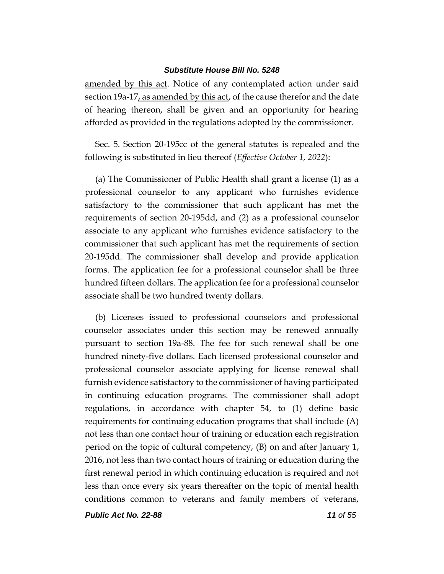amended by this act. Notice of any contemplated action under said section 19a-17, as amended by this act, of the cause therefor and the date of hearing thereon, shall be given and an opportunity for hearing afforded as provided in the regulations adopted by the commissioner.

Sec. 5. Section 20-195cc of the general statutes is repealed and the following is substituted in lieu thereof (*Effective October 1, 2022*):

(a) The Commissioner of Public Health shall grant a license (1) as a professional counselor to any applicant who furnishes evidence satisfactory to the commissioner that such applicant has met the requirements of section 20-195dd, and (2) as a professional counselor associate to any applicant who furnishes evidence satisfactory to the commissioner that such applicant has met the requirements of section 20-195dd. The commissioner shall develop and provide application forms. The application fee for a professional counselor shall be three hundred fifteen dollars. The application fee for a professional counselor associate shall be two hundred twenty dollars.

(b) Licenses issued to professional counselors and professional counselor associates under this section may be renewed annually pursuant to section 19a-88. The fee for such renewal shall be one hundred ninety-five dollars. Each licensed professional counselor and professional counselor associate applying for license renewal shall furnish evidence satisfactory to the commissioner of having participated in continuing education programs. The commissioner shall adopt regulations, in accordance with chapter 54, to (1) define basic requirements for continuing education programs that shall include (A) not less than one contact hour of training or education each registration period on the topic of cultural competency, (B) on and after January 1, 2016, not less than two contact hours of training or education during the first renewal period in which continuing education is required and not less than once every six years thereafter on the topic of mental health conditions common to veterans and family members of veterans,

*Public Act No. 22-88 11 of 55*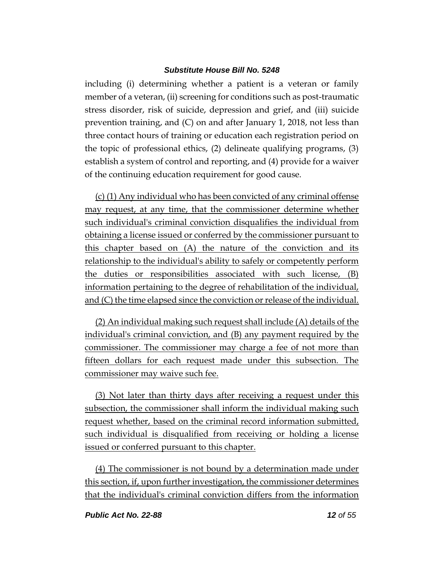including (i) determining whether a patient is a veteran or family member of a veteran, (ii) screening for conditions such as post-traumatic stress disorder, risk of suicide, depression and grief, and (iii) suicide prevention training, and (C) on and after January 1, 2018, not less than three contact hours of training or education each registration period on the topic of professional ethics, (2) delineate qualifying programs, (3) establish a system of control and reporting, and (4) provide for a waiver of the continuing education requirement for good cause.

(c) (1) Any individual who has been convicted of any criminal offense may request, at any time, that the commissioner determine whether such individual's criminal conviction disqualifies the individual from obtaining a license issued or conferred by the commissioner pursuant to this chapter based on (A) the nature of the conviction and its relationship to the individual's ability to safely or competently perform the duties or responsibilities associated with such license, (B) information pertaining to the degree of rehabilitation of the individual, and (C) the time elapsed since the conviction or release of the individual.

(2) An individual making such request shall include (A) details of the individual's criminal conviction, and (B) any payment required by the commissioner. The commissioner may charge a fee of not more than fifteen dollars for each request made under this subsection. The commissioner may waive such fee.

(3) Not later than thirty days after receiving a request under this subsection, the commissioner shall inform the individual making such request whether, based on the criminal record information submitted, such individual is disqualified from receiving or holding a license issued or conferred pursuant to this chapter.

(4) The commissioner is not bound by a determination made under this section, if, upon further investigation, the commissioner determines that the individual's criminal conviction differs from the information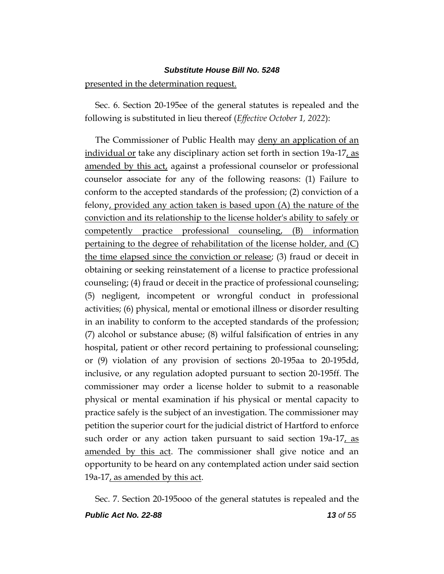#### presented in the determination request.

Sec. 6. Section 20-195ee of the general statutes is repealed and the following is substituted in lieu thereof (*Effective October 1, 2022*):

The Commissioner of Public Health may deny an application of an individual or take any disciplinary action set forth in section 19a-17, as amended by this act, against a professional counselor or professional counselor associate for any of the following reasons: (1) Failure to conform to the accepted standards of the profession; (2) conviction of a felony, provided any action taken is based upon (A) the nature of the conviction and its relationship to the license holder's ability to safely or competently practice professional counseling, (B) information pertaining to the degree of rehabilitation of the license holder, and (C) the time elapsed since the conviction or release; (3) fraud or deceit in obtaining or seeking reinstatement of a license to practice professional counseling; (4) fraud or deceit in the practice of professional counseling; (5) negligent, incompetent or wrongful conduct in professional activities; (6) physical, mental or emotional illness or disorder resulting in an inability to conform to the accepted standards of the profession; (7) alcohol or substance abuse; (8) wilful falsification of entries in any hospital, patient or other record pertaining to professional counseling; or (9) violation of any provision of sections 20-195aa to 20-195dd, inclusive, or any regulation adopted pursuant to section 20-195ff. The commissioner may order a license holder to submit to a reasonable physical or mental examination if his physical or mental capacity to practice safely is the subject of an investigation. The commissioner may petition the superior court for the judicial district of Hartford to enforce such order or any action taken pursuant to said section 19a-17, as amended by this act. The commissioner shall give notice and an opportunity to be heard on any contemplated action under said section 19a-17, as amended by this act.

Sec. 7. Section 20-195ooo of the general statutes is repealed and the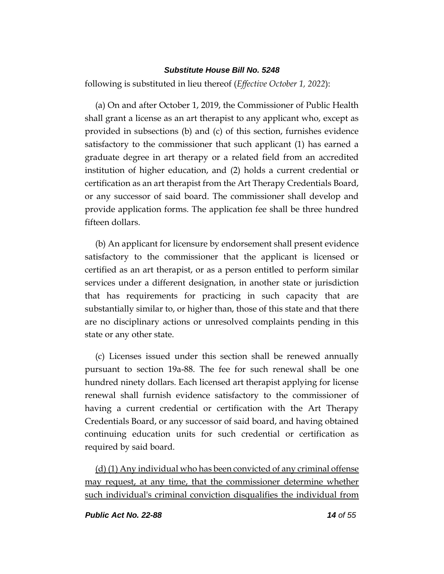following is substituted in lieu thereof (*Effective October 1, 2022*):

(a) On and after October 1, 2019, the Commissioner of Public Health shall grant a license as an art therapist to any applicant who, except as provided in subsections (b) and (c) of this section, furnishes evidence satisfactory to the commissioner that such applicant (1) has earned a graduate degree in art therapy or a related field from an accredited institution of higher education, and (2) holds a current credential or certification as an art therapist from the Art Therapy Credentials Board, or any successor of said board. The commissioner shall develop and provide application forms. The application fee shall be three hundred fifteen dollars.

(b) An applicant for licensure by endorsement shall present evidence satisfactory to the commissioner that the applicant is licensed or certified as an art therapist, or as a person entitled to perform similar services under a different designation, in another state or jurisdiction that has requirements for practicing in such capacity that are substantially similar to, or higher than, those of this state and that there are no disciplinary actions or unresolved complaints pending in this state or any other state.

(c) Licenses issued under this section shall be renewed annually pursuant to section 19a-88. The fee for such renewal shall be one hundred ninety dollars. Each licensed art therapist applying for license renewal shall furnish evidence satisfactory to the commissioner of having a current credential or certification with the Art Therapy Credentials Board, or any successor of said board, and having obtained continuing education units for such credential or certification as required by said board.

(d) (1) Any individual who has been convicted of any criminal offense may request, at any time, that the commissioner determine whether such individual's criminal conviction disqualifies the individual from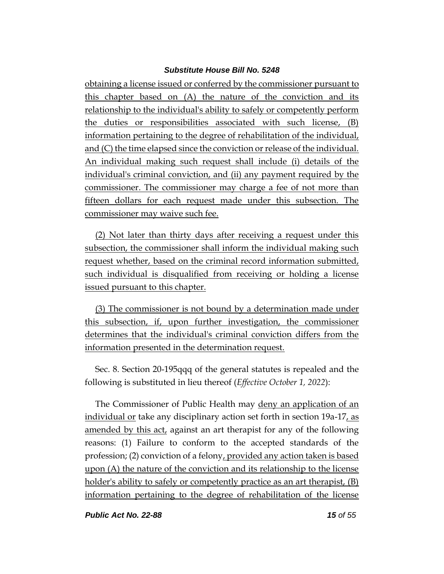obtaining a license issued or conferred by the commissioner pursuant to this chapter based on (A) the nature of the conviction and its relationship to the individual's ability to safely or competently perform the duties or responsibilities associated with such license, (B) information pertaining to the degree of rehabilitation of the individual, and (C) the time elapsed since the conviction or release of the individual. An individual making such request shall include (i) details of the individual's criminal conviction, and (ii) any payment required by the commissioner. The commissioner may charge a fee of not more than fifteen dollars for each request made under this subsection. The commissioner may waive such fee.

(2) Not later than thirty days after receiving a request under this subsection, the commissioner shall inform the individual making such request whether, based on the criminal record information submitted, such individual is disqualified from receiving or holding a license issued pursuant to this chapter.

(3) The commissioner is not bound by a determination made under this subsection, if, upon further investigation, the commissioner determines that the individual's criminal conviction differs from the information presented in the determination request.

Sec. 8. Section 20-195qqq of the general statutes is repealed and the following is substituted in lieu thereof (*Effective October 1, 2022*):

The Commissioner of Public Health may deny an application of an individual or take any disciplinary action set forth in section 19a-17, as amended by this act, against an art therapist for any of the following reasons: (1) Failure to conform to the accepted standards of the profession; (2) conviction of a felony, provided any action taken is based upon (A) the nature of the conviction and its relationship to the license holder's ability to safely or competently practice as an art therapist, (B) information pertaining to the degree of rehabilitation of the license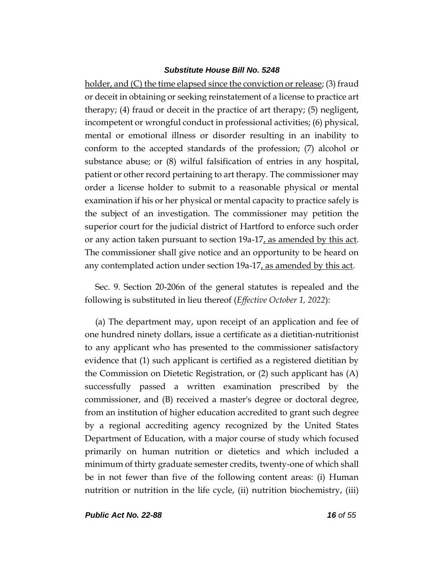holder, and (C) the time elapsed since the conviction or release; (3) fraud or deceit in obtaining or seeking reinstatement of a license to practice art therapy; (4) fraud or deceit in the practice of art therapy; (5) negligent, incompetent or wrongful conduct in professional activities; (6) physical, mental or emotional illness or disorder resulting in an inability to conform to the accepted standards of the profession; (7) alcohol or substance abuse; or (8) wilful falsification of entries in any hospital, patient or other record pertaining to art therapy. The commissioner may order a license holder to submit to a reasonable physical or mental examination if his or her physical or mental capacity to practice safely is the subject of an investigation. The commissioner may petition the superior court for the judicial district of Hartford to enforce such order or any action taken pursuant to section 19a-17, as amended by this act. The commissioner shall give notice and an opportunity to be heard on any contemplated action under section 19a-17, as amended by this act.

Sec. 9. Section 20-206n of the general statutes is repealed and the following is substituted in lieu thereof (*Effective October 1, 2022*):

(a) The department may, upon receipt of an application and fee of one hundred ninety dollars, issue a certificate as a dietitian-nutritionist to any applicant who has presented to the commissioner satisfactory evidence that (1) such applicant is certified as a registered dietitian by the Commission on Dietetic Registration, or (2) such applicant has (A) successfully passed a written examination prescribed by the commissioner, and (B) received a master's degree or doctoral degree, from an institution of higher education accredited to grant such degree by a regional accrediting agency recognized by the United States Department of Education, with a major course of study which focused primarily on human nutrition or dietetics and which included a minimum of thirty graduate semester credits, twenty-one of which shall be in not fewer than five of the following content areas: (i) Human nutrition or nutrition in the life cycle, (ii) nutrition biochemistry, (iii)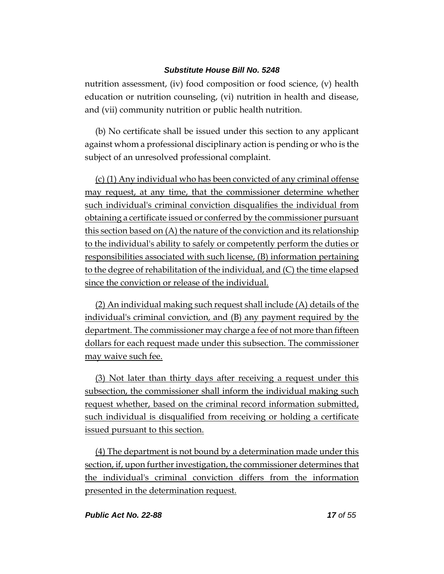nutrition assessment, (iv) food composition or food science, (v) health education or nutrition counseling, (vi) nutrition in health and disease, and (vii) community nutrition or public health nutrition.

(b) No certificate shall be issued under this section to any applicant against whom a professional disciplinary action is pending or who is the subject of an unresolved professional complaint.

(c) (1) Any individual who has been convicted of any criminal offense may request, at any time, that the commissioner determine whether such individual's criminal conviction disqualifies the individual from obtaining a certificate issued or conferred by the commissioner pursuant this section based on (A) the nature of the conviction and its relationship to the individual's ability to safely or competently perform the duties or responsibilities associated with such license, (B) information pertaining to the degree of rehabilitation of the individual, and (C) the time elapsed since the conviction or release of the individual.

(2) An individual making such request shall include (A) details of the individual's criminal conviction, and (B) any payment required by the department. The commissioner may charge a fee of not more than fifteen dollars for each request made under this subsection. The commissioner may waive such fee.

(3) Not later than thirty days after receiving a request under this subsection, the commissioner shall inform the individual making such request whether, based on the criminal record information submitted, such individual is disqualified from receiving or holding a certificate issued pursuant to this section.

(4) The department is not bound by a determination made under this section, if, upon further investigation, the commissioner determines that the individual's criminal conviction differs from the information presented in the determination request.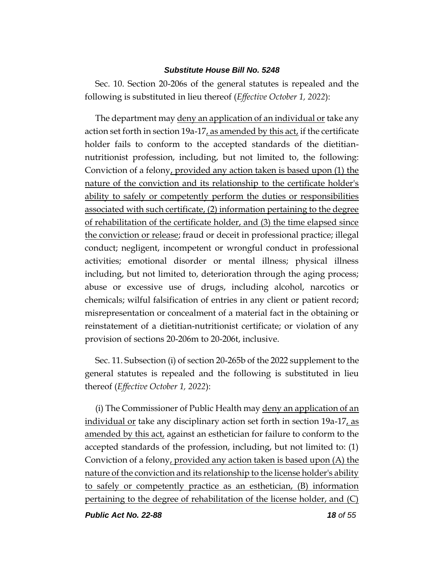Sec. 10. Section 20-206s of the general statutes is repealed and the following is substituted in lieu thereof (*Effective October 1, 2022*):

The department may deny an application of an individual or take any action set forth in section 19a-17, as amended by this act, if the certificate holder fails to conform to the accepted standards of the dietitiannutritionist profession, including, but not limited to, the following: Conviction of a felony, provided any action taken is based upon (1) the nature of the conviction and its relationship to the certificate holder's ability to safely or competently perform the duties or responsibilities associated with such certificate, (2) information pertaining to the degree of rehabilitation of the certificate holder, and (3) the time elapsed since the conviction or release; fraud or deceit in professional practice; illegal conduct; negligent, incompetent or wrongful conduct in professional activities; emotional disorder or mental illness; physical illness including, but not limited to, deterioration through the aging process; abuse or excessive use of drugs, including alcohol, narcotics or chemicals; wilful falsification of entries in any client or patient record; misrepresentation or concealment of a material fact in the obtaining or reinstatement of a dietitian-nutritionist certificate; or violation of any provision of sections 20-206m to 20-206t, inclusive.

Sec. 11. Subsection (i) of section 20-265b of the 2022 supplement to the general statutes is repealed and the following is substituted in lieu thereof (*Effective October 1, 2022*):

(i) The Commissioner of Public Health may deny an application of an individual or take any disciplinary action set forth in section 19a-17, as amended by this act, against an esthetician for failure to conform to the accepted standards of the profession, including, but not limited to: (1) Conviction of a felony, provided any action taken is based upon (A) the nature of the conviction and its relationship to the license holder's ability to safely or competently practice as an esthetician, (B) information pertaining to the degree of rehabilitation of the license holder, and (C)

*Public Act No. 22-88 18 of 55*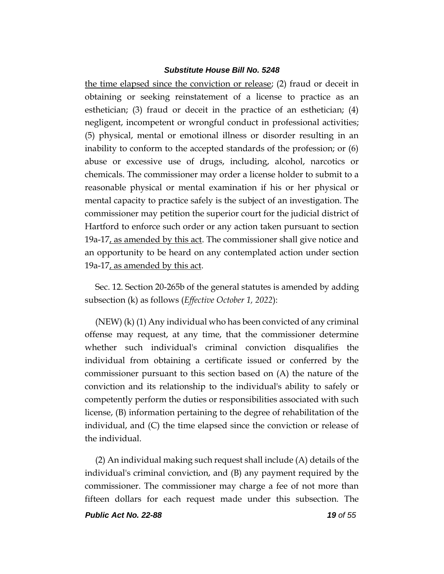the time elapsed since the conviction or release; (2) fraud or deceit in obtaining or seeking reinstatement of a license to practice as an esthetician; (3) fraud or deceit in the practice of an esthetician; (4) negligent, incompetent or wrongful conduct in professional activities; (5) physical, mental or emotional illness or disorder resulting in an inability to conform to the accepted standards of the profession; or (6) abuse or excessive use of drugs, including, alcohol, narcotics or chemicals. The commissioner may order a license holder to submit to a reasonable physical or mental examination if his or her physical or mental capacity to practice safely is the subject of an investigation. The commissioner may petition the superior court for the judicial district of Hartford to enforce such order or any action taken pursuant to section 19a-17, as amended by this act. The commissioner shall give notice and an opportunity to be heard on any contemplated action under section 19a-17, as amended by this act.

Sec. 12. Section 20-265b of the general statutes is amended by adding subsection (k) as follows (*Effective October 1, 2022*):

(NEW) (k) (1) Any individual who has been convicted of any criminal offense may request, at any time, that the commissioner determine whether such individual's criminal conviction disqualifies the individual from obtaining a certificate issued or conferred by the commissioner pursuant to this section based on (A) the nature of the conviction and its relationship to the individual's ability to safely or competently perform the duties or responsibilities associated with such license, (B) information pertaining to the degree of rehabilitation of the individual, and (C) the time elapsed since the conviction or release of the individual.

(2) An individual making such request shall include (A) details of the individual's criminal conviction, and (B) any payment required by the commissioner. The commissioner may charge a fee of not more than fifteen dollars for each request made under this subsection. The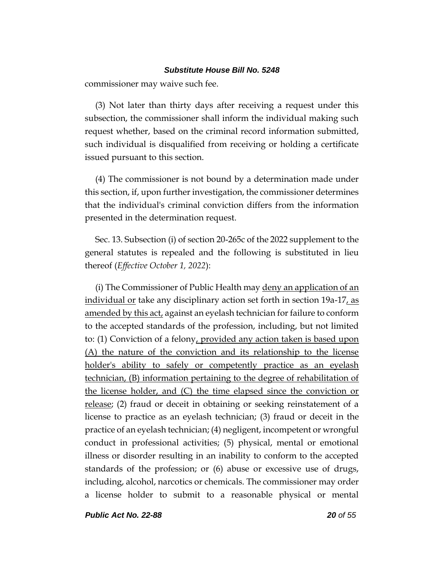commissioner may waive such fee.

(3) Not later than thirty days after receiving a request under this subsection, the commissioner shall inform the individual making such request whether, based on the criminal record information submitted, such individual is disqualified from receiving or holding a certificate issued pursuant to this section.

(4) The commissioner is not bound by a determination made under this section, if, upon further investigation, the commissioner determines that the individual's criminal conviction differs from the information presented in the determination request.

Sec. 13. Subsection (i) of section 20-265c of the 2022 supplement to the general statutes is repealed and the following is substituted in lieu thereof (*Effective October 1, 2022*):

(i) The Commissioner of Public Health may deny an application of an individual or take any disciplinary action set forth in section 19a-17, as amended by this act, against an eyelash technician for failure to conform to the accepted standards of the profession, including, but not limited to: (1) Conviction of a felony, provided any action taken is based upon (A) the nature of the conviction and its relationship to the license holder's ability to safely or competently practice as an eyelash technician, (B) information pertaining to the degree of rehabilitation of the license holder, and (C) the time elapsed since the conviction or release; (2) fraud or deceit in obtaining or seeking reinstatement of a license to practice as an eyelash technician; (3) fraud or deceit in the practice of an eyelash technician; (4) negligent, incompetent or wrongful conduct in professional activities; (5) physical, mental or emotional illness or disorder resulting in an inability to conform to the accepted standards of the profession; or (6) abuse or excessive use of drugs, including, alcohol, narcotics or chemicals. The commissioner may order a license holder to submit to a reasonable physical or mental

*Public Act No. 22-88 20 of 55*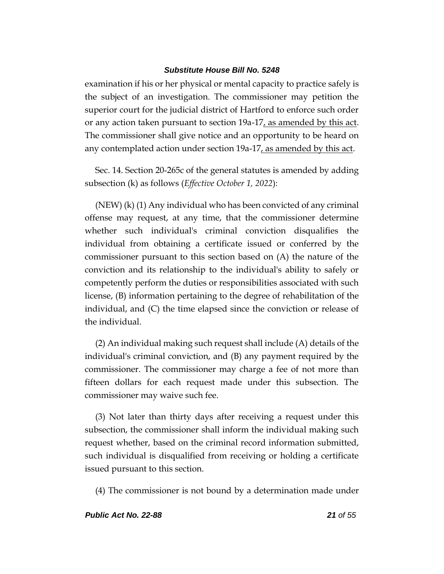examination if his or her physical or mental capacity to practice safely is the subject of an investigation. The commissioner may petition the superior court for the judicial district of Hartford to enforce such order or any action taken pursuant to section 19a-17, as amended by this act. The commissioner shall give notice and an opportunity to be heard on any contemplated action under section 19a-17, as amended by this act.

Sec. 14. Section 20-265c of the general statutes is amended by adding subsection (k) as follows (*Effective October 1, 2022*):

(NEW) (k) (1) Any individual who has been convicted of any criminal offense may request, at any time, that the commissioner determine whether such individual's criminal conviction disqualifies the individual from obtaining a certificate issued or conferred by the commissioner pursuant to this section based on (A) the nature of the conviction and its relationship to the individual's ability to safely or competently perform the duties or responsibilities associated with such license, (B) information pertaining to the degree of rehabilitation of the individual, and (C) the time elapsed since the conviction or release of the individual.

(2) An individual making such request shall include (A) details of the individual's criminal conviction, and (B) any payment required by the commissioner. The commissioner may charge a fee of not more than fifteen dollars for each request made under this subsection. The commissioner may waive such fee.

(3) Not later than thirty days after receiving a request under this subsection, the commissioner shall inform the individual making such request whether, based on the criminal record information submitted, such individual is disqualified from receiving or holding a certificate issued pursuant to this section.

(4) The commissioner is not bound by a determination made under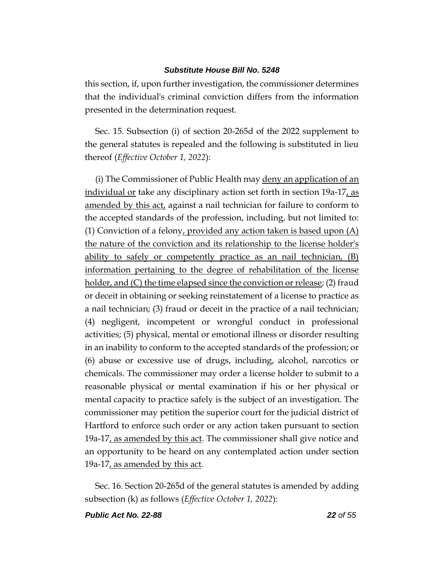this section, if, upon further investigation, the commissioner determines that the individual's criminal conviction differs from the information presented in the determination request.

Sec. 15. Subsection (i) of section 20-265d of the 2022 supplement to the general statutes is repealed and the following is substituted in lieu thereof (*Effective October 1, 2022*):

(i) The Commissioner of Public Health may deny an application of an individual or take any disciplinary action set forth in section 19a-17, as amended by this act, against a nail technician for failure to conform to the accepted standards of the profession, including, but not limited to: (1) Conviction of a felony, provided any action taken is based upon (A) the nature of the conviction and its relationship to the license holder's ability to safely or competently practice as an nail technician, (B) information pertaining to the degree of rehabilitation of the license holder, and (C) the time elapsed since the conviction or release; (2) fraud or deceit in obtaining or seeking reinstatement of a license to practice as a nail technician; (3) fraud or deceit in the practice of a nail technician; (4) negligent, incompetent or wrongful conduct in professional activities; (5) physical, mental or emotional illness or disorder resulting in an inability to conform to the accepted standards of the profession; or (6) abuse or excessive use of drugs, including, alcohol, narcotics or chemicals. The commissioner may order a license holder to submit to a reasonable physical or mental examination if his or her physical or mental capacity to practice safely is the subject of an investigation. The commissioner may petition the superior court for the judicial district of Hartford to enforce such order or any action taken pursuant to section 19a-17, as amended by this act. The commissioner shall give notice and an opportunity to be heard on any contemplated action under section 19a-17, as amended by this act.

Sec. 16. Section 20-265d of the general statutes is amended by adding subsection (k) as follows (*Effective October 1, 2022*):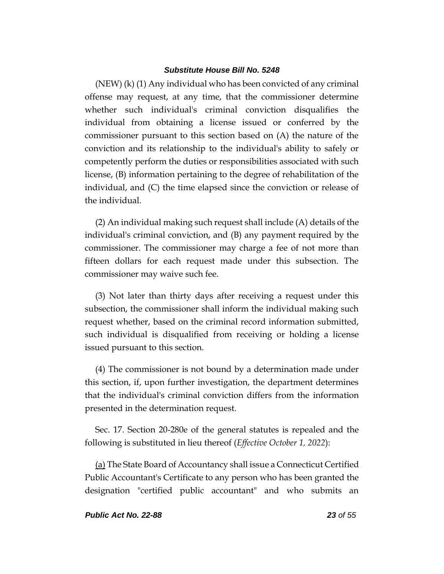(NEW) (k) (1) Any individual who has been convicted of any criminal offense may request, at any time, that the commissioner determine whether such individual's criminal conviction disqualifies the individual from obtaining a license issued or conferred by the commissioner pursuant to this section based on (A) the nature of the conviction and its relationship to the individual's ability to safely or competently perform the duties or responsibilities associated with such license, (B) information pertaining to the degree of rehabilitation of the individual, and (C) the time elapsed since the conviction or release of the individual.

(2) An individual making such request shall include (A) details of the individual's criminal conviction, and (B) any payment required by the commissioner. The commissioner may charge a fee of not more than fifteen dollars for each request made under this subsection. The commissioner may waive such fee.

(3) Not later than thirty days after receiving a request under this subsection, the commissioner shall inform the individual making such request whether, based on the criminal record information submitted, such individual is disqualified from receiving or holding a license issued pursuant to this section.

(4) The commissioner is not bound by a determination made under this section, if, upon further investigation, the department determines that the individual's criminal conviction differs from the information presented in the determination request.

Sec. 17. Section 20-280e of the general statutes is repealed and the following is substituted in lieu thereof (*Effective October 1, 2022*):

(a) The State Board of Accountancy shall issue a Connecticut Certified Public Accountant's Certificate to any person who has been granted the designation "certified public accountant" and who submits an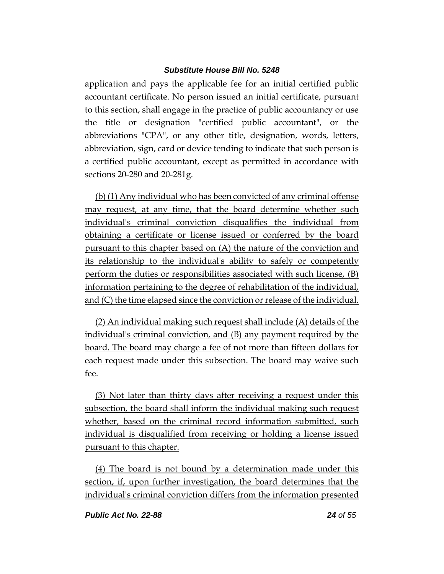application and pays the applicable fee for an initial certified public accountant certificate. No person issued an initial certificate, pursuant to this section, shall engage in the practice of public accountancy or use the title or designation "certified public accountant", or the abbreviations "CPA", or any other title, designation, words, letters, abbreviation, sign, card or device tending to indicate that such person is a certified public accountant, except as permitted in accordance with sections 20-280 and 20-281g.

(b) (1) Any individual who has been convicted of any criminal offense may request, at any time, that the board determine whether such individual's criminal conviction disqualifies the individual from obtaining a certificate or license issued or conferred by the board pursuant to this chapter based on (A) the nature of the conviction and its relationship to the individual's ability to safely or competently perform the duties or responsibilities associated with such license, (B) information pertaining to the degree of rehabilitation of the individual, and (C) the time elapsed since the conviction or release of the individual.

(2) An individual making such request shall include (A) details of the individual's criminal conviction, and (B) any payment required by the board. The board may charge a fee of not more than fifteen dollars for each request made under this subsection. The board may waive such fee.

(3) Not later than thirty days after receiving a request under this subsection, the board shall inform the individual making such request whether, based on the criminal record information submitted, such individual is disqualified from receiving or holding a license issued pursuant to this chapter.

(4) The board is not bound by a determination made under this section, if, upon further investigation, the board determines that the individual's criminal conviction differs from the information presented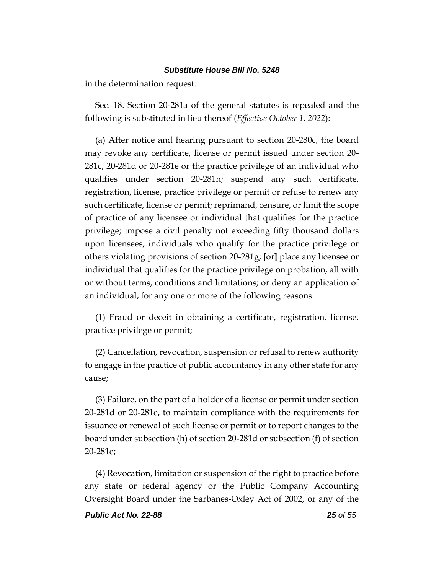in the determination request.

Sec. 18. Section 20-281a of the general statutes is repealed and the following is substituted in lieu thereof (*Effective October 1, 2022*):

(a) After notice and hearing pursuant to section 20-280c, the board may revoke any certificate, license or permit issued under section 20- 281c, 20-281d or 20-281e or the practice privilege of an individual who qualifies under section 20-281n; suspend any such certificate, registration, license, practice privilege or permit or refuse to renew any such certificate, license or permit; reprimand, censure, or limit the scope of practice of any licensee or individual that qualifies for the practice privilege; impose a civil penalty not exceeding fifty thousand dollars upon licensees, individuals who qualify for the practice privilege or others violating provisions of section 20-281g; **[**or**]** place any licensee or individual that qualifies for the practice privilege on probation, all with or without terms, conditions and limitations; or deny an application of an individual, for any one or more of the following reasons:

(1) Fraud or deceit in obtaining a certificate, registration, license, practice privilege or permit;

(2) Cancellation, revocation, suspension or refusal to renew authority to engage in the practice of public accountancy in any other state for any cause;

(3) Failure, on the part of a holder of a license or permit under section 20-281d or 20-281e, to maintain compliance with the requirements for issuance or renewal of such license or permit or to report changes to the board under subsection (h) of section 20-281d or subsection (f) of section 20-281e;

(4) Revocation, limitation or suspension of the right to practice before any state or federal agency or the Public Company Accounting Oversight Board under the Sarbanes-Oxley Act of 2002, or any of the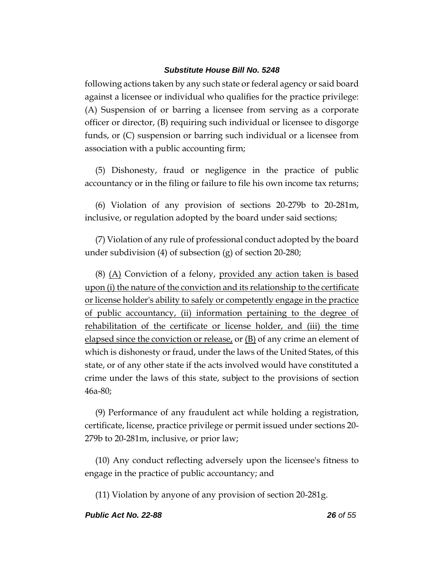following actions taken by any such state or federal agency or said board against a licensee or individual who qualifies for the practice privilege: (A) Suspension of or barring a licensee from serving as a corporate officer or director, (B) requiring such individual or licensee to disgorge funds, or (C) suspension or barring such individual or a licensee from association with a public accounting firm;

(5) Dishonesty, fraud or negligence in the practice of public accountancy or in the filing or failure to file his own income tax returns;

(6) Violation of any provision of sections 20-279b to 20-281m, inclusive, or regulation adopted by the board under said sections;

(7) Violation of any rule of professional conduct adopted by the board under subdivision (4) of subsection (g) of section 20-280;

(8) (A) Conviction of a felony, provided any action taken is based upon (i) the nature of the conviction and its relationship to the certificate or license holder's ability to safely or competently engage in the practice of public accountancy, (ii) information pertaining to the degree of rehabilitation of the certificate or license holder, and (iii) the time elapsed since the conviction or release, or (B) of any crime an element of which is dishonesty or fraud, under the laws of the United States, of this state, or of any other state if the acts involved would have constituted a crime under the laws of this state, subject to the provisions of section 46a-80;

(9) Performance of any fraudulent act while holding a registration, certificate, license, practice privilege or permit issued under sections 20- 279b to 20-281m, inclusive, or prior law;

(10) Any conduct reflecting adversely upon the licensee's fitness to engage in the practice of public accountancy; and

(11) Violation by anyone of any provision of section 20-281g.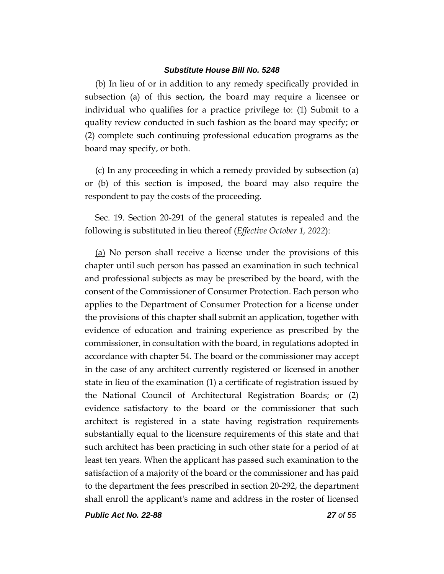(b) In lieu of or in addition to any remedy specifically provided in subsection (a) of this section, the board may require a licensee or individual who qualifies for a practice privilege to: (1) Submit to a quality review conducted in such fashion as the board may specify; or (2) complete such continuing professional education programs as the board may specify, or both.

(c) In any proceeding in which a remedy provided by subsection (a) or (b) of this section is imposed, the board may also require the respondent to pay the costs of the proceeding.

Sec. 19. Section 20-291 of the general statutes is repealed and the following is substituted in lieu thereof (*Effective October 1, 2022*):

(a) No person shall receive a license under the provisions of this chapter until such person has passed an examination in such technical and professional subjects as may be prescribed by the board, with the consent of the Commissioner of Consumer Protection. Each person who applies to the Department of Consumer Protection for a license under the provisions of this chapter shall submit an application, together with evidence of education and training experience as prescribed by the commissioner, in consultation with the board, in regulations adopted in accordance with chapter 54. The board or the commissioner may accept in the case of any architect currently registered or licensed in another state in lieu of the examination (1) a certificate of registration issued by the National Council of Architectural Registration Boards; or (2) evidence satisfactory to the board or the commissioner that such architect is registered in a state having registration requirements substantially equal to the licensure requirements of this state and that such architect has been practicing in such other state for a period of at least ten years. When the applicant has passed such examination to the satisfaction of a majority of the board or the commissioner and has paid to the department the fees prescribed in section 20-292, the department shall enroll the applicant's name and address in the roster of licensed

*Public Act No. 22-88 27 of 55*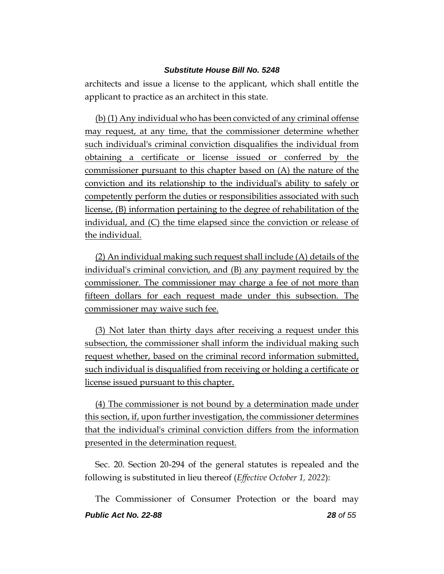architects and issue a license to the applicant, which shall entitle the applicant to practice as an architect in this state.

(b) (1) Any individual who has been convicted of any criminal offense may request, at any time, that the commissioner determine whether such individual's criminal conviction disqualifies the individual from obtaining a certificate or license issued or conferred by the commissioner pursuant to this chapter based on (A) the nature of the conviction and its relationship to the individual's ability to safely or competently perform the duties or responsibilities associated with such license, (B) information pertaining to the degree of rehabilitation of the individual, and (C) the time elapsed since the conviction or release of the individual.

(2) An individual making such request shall include (A) details of the individual's criminal conviction, and (B) any payment required by the commissioner. The commissioner may charge a fee of not more than fifteen dollars for each request made under this subsection. The commissioner may waive such fee.

(3) Not later than thirty days after receiving a request under this subsection, the commissioner shall inform the individual making such request whether, based on the criminal record information submitted, such individual is disqualified from receiving or holding a certificate or license issued pursuant to this chapter.

(4) The commissioner is not bound by a determination made under this section, if, upon further investigation, the commissioner determines that the individual's criminal conviction differs from the information presented in the determination request.

Sec. 20. Section 20-294 of the general statutes is repealed and the following is substituted in lieu thereof (*Effective October 1, 2022*):

*Public Act No. 22-88 28 of 55* The Commissioner of Consumer Protection or the board may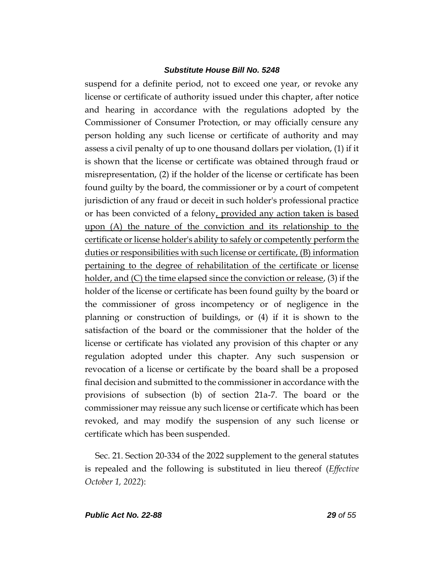suspend for a definite period, not to exceed one year, or revoke any license or certificate of authority issued under this chapter, after notice and hearing in accordance with the regulations adopted by the Commissioner of Consumer Protection, or may officially censure any person holding any such license or certificate of authority and may assess a civil penalty of up to one thousand dollars per violation, (1) if it is shown that the license or certificate was obtained through fraud or misrepresentation, (2) if the holder of the license or certificate has been found guilty by the board, the commissioner or by a court of competent jurisdiction of any fraud or deceit in such holder's professional practice or has been convicted of a felony, provided any action taken is based upon (A) the nature of the conviction and its relationship to the certificate or license holder's ability to safely or competently perform the duties or responsibilities with such license or certificate, (B) information pertaining to the degree of rehabilitation of the certificate or license holder, and (C) the time elapsed since the conviction or release, (3) if the holder of the license or certificate has been found guilty by the board or the commissioner of gross incompetency or of negligence in the planning or construction of buildings, or (4) if it is shown to the satisfaction of the board or the commissioner that the holder of the license or certificate has violated any provision of this chapter or any regulation adopted under this chapter. Any such suspension or revocation of a license or certificate by the board shall be a proposed final decision and submitted to the commissioner in accordance with the provisions of subsection (b) of section 21a-7. The board or the commissioner may reissue any such license or certificate which has been revoked, and may modify the suspension of any such license or certificate which has been suspended.

Sec. 21. Section 20-334 of the 2022 supplement to the general statutes is repealed and the following is substituted in lieu thereof (*Effective October 1, 2022*):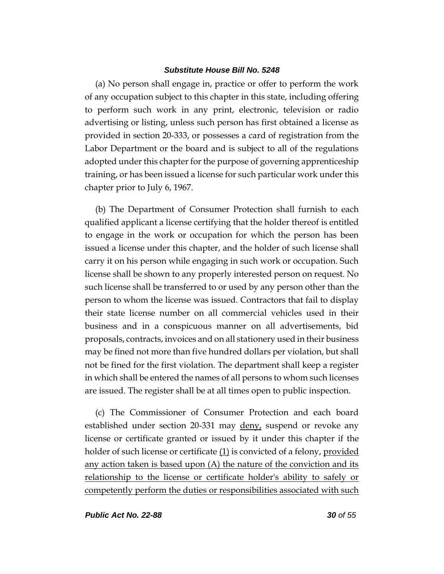(a) No person shall engage in, practice or offer to perform the work of any occupation subject to this chapter in this state, including offering to perform such work in any print, electronic, television or radio advertising or listing, unless such person has first obtained a license as provided in section 20-333, or possesses a card of registration from the Labor Department or the board and is subject to all of the regulations adopted under this chapter for the purpose of governing apprenticeship training, or has been issued a license for such particular work under this chapter prior to July 6, 1967.

(b) The Department of Consumer Protection shall furnish to each qualified applicant a license certifying that the holder thereof is entitled to engage in the work or occupation for which the person has been issued a license under this chapter, and the holder of such license shall carry it on his person while engaging in such work or occupation. Such license shall be shown to any properly interested person on request. No such license shall be transferred to or used by any person other than the person to whom the license was issued. Contractors that fail to display their state license number on all commercial vehicles used in their business and in a conspicuous manner on all advertisements, bid proposals, contracts, invoices and on all stationery used in their business may be fined not more than five hundred dollars per violation, but shall not be fined for the first violation. The department shall keep a register in which shall be entered the names of all persons to whom such licenses are issued. The register shall be at all times open to public inspection.

(c) The Commissioner of Consumer Protection and each board established under section 20-331 may deny, suspend or revoke any license or certificate granted or issued by it under this chapter if the holder of such license or certificate (1) is convicted of a felony, provided any action taken is based upon (A) the nature of the conviction and its relationship to the license or certificate holder's ability to safely or competently perform the duties or responsibilities associated with such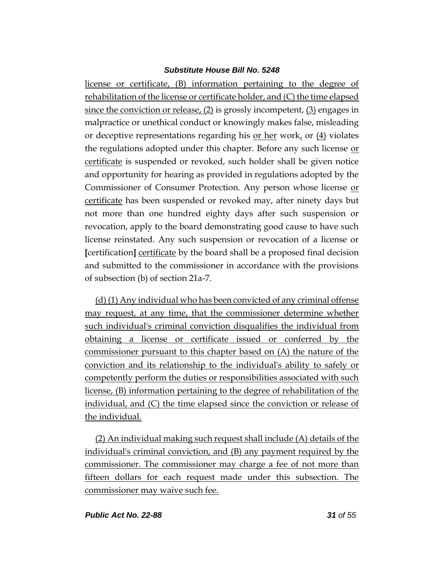license or certificate, (B) information pertaining to the degree of rehabilitation of the license or certificate holder, and (C) the time elapsed since the conviction or release, (2) is grossly incompetent, (3) engages in malpractice or unethical conduct or knowingly makes false, misleading or deceptive representations regarding his or her work, or (4) violates the regulations adopted under this chapter. Before any such license or certificate is suspended or revoked, such holder shall be given notice and opportunity for hearing as provided in regulations adopted by the Commissioner of Consumer Protection. Any person whose license or certificate has been suspended or revoked may, after ninety days but not more than one hundred eighty days after such suspension or revocation, apply to the board demonstrating good cause to have such license reinstated. Any such suspension or revocation of a license or **[**certification**]** certificate by the board shall be a proposed final decision and submitted to the commissioner in accordance with the provisions of subsection (b) of section 21a-7.

(d) (1) Any individual who has been convicted of any criminal offense may request, at any time, that the commissioner determine whether such individual's criminal conviction disqualifies the individual from obtaining a license or certificate issued or conferred by the commissioner pursuant to this chapter based on (A) the nature of the conviction and its relationship to the individual's ability to safely or competently perform the duties or responsibilities associated with such license, (B) information pertaining to the degree of rehabilitation of the individual, and (C) the time elapsed since the conviction or release of the individual.

(2) An individual making such request shall include (A) details of the individual's criminal conviction, and (B) any payment required by the commissioner. The commissioner may charge a fee of not more than fifteen dollars for each request made under this subsection. The commissioner may waive such fee.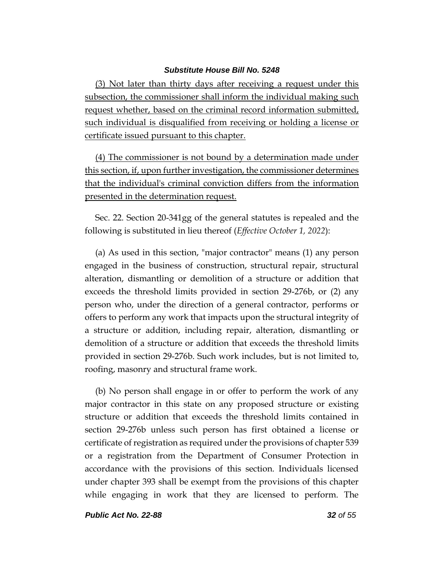(3) Not later than thirty days after receiving a request under this subsection, the commissioner shall inform the individual making such request whether, based on the criminal record information submitted, such individual is disqualified from receiving or holding a license or certificate issued pursuant to this chapter.

(4) The commissioner is not bound by a determination made under this section, if, upon further investigation, the commissioner determines that the individual's criminal conviction differs from the information presented in the determination request.

Sec. 22. Section 20-341gg of the general statutes is repealed and the following is substituted in lieu thereof (*Effective October 1, 2022*):

(a) As used in this section, "major contractor" means (1) any person engaged in the business of construction, structural repair, structural alteration, dismantling or demolition of a structure or addition that exceeds the threshold limits provided in section 29-276b, or (2) any person who, under the direction of a general contractor, performs or offers to perform any work that impacts upon the structural integrity of a structure or addition, including repair, alteration, dismantling or demolition of a structure or addition that exceeds the threshold limits provided in section 29-276b. Such work includes, but is not limited to, roofing, masonry and structural frame work.

(b) No person shall engage in or offer to perform the work of any major contractor in this state on any proposed structure or existing structure or addition that exceeds the threshold limits contained in section 29-276b unless such person has first obtained a license or certificate of registration as required under the provisions of chapter 539 or a registration from the Department of Consumer Protection in accordance with the provisions of this section. Individuals licensed under chapter 393 shall be exempt from the provisions of this chapter while engaging in work that they are licensed to perform. The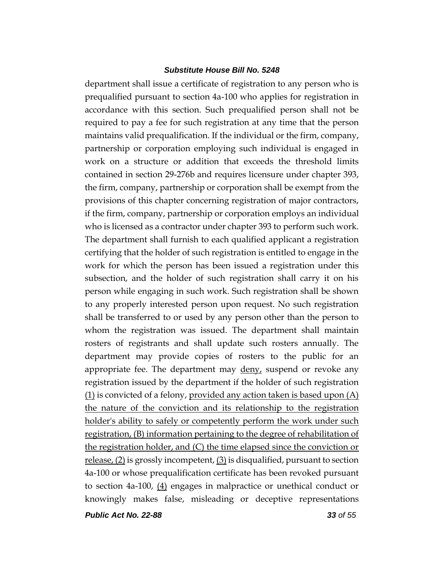department shall issue a certificate of registration to any person who is prequalified pursuant to section 4a-100 who applies for registration in accordance with this section. Such prequalified person shall not be required to pay a fee for such registration at any time that the person maintains valid prequalification. If the individual or the firm, company, partnership or corporation employing such individual is engaged in work on a structure or addition that exceeds the threshold limits contained in section 29-276b and requires licensure under chapter 393, the firm, company, partnership or corporation shall be exempt from the provisions of this chapter concerning registration of major contractors, if the firm, company, partnership or corporation employs an individual who is licensed as a contractor under chapter 393 to perform such work. The department shall furnish to each qualified applicant a registration certifying that the holder of such registration is entitled to engage in the work for which the person has been issued a registration under this subsection, and the holder of such registration shall carry it on his person while engaging in such work. Such registration shall be shown to any properly interested person upon request. No such registration shall be transferred to or used by any person other than the person to whom the registration was issued. The department shall maintain rosters of registrants and shall update such rosters annually. The department may provide copies of rosters to the public for an appropriate fee. The department may deny, suspend or revoke any registration issued by the department if the holder of such registration  $(1)$  is convicted of a felony, provided any action taken is based upon  $(A)$ the nature of the conviction and its relationship to the registration holder's ability to safely or competently perform the work under such registration, (B) information pertaining to the degree of rehabilitation of the registration holder, and (C) the time elapsed since the conviction or release, (2) is grossly incompetent, (3) is disqualified, pursuant to section 4a-100 or whose prequalification certificate has been revoked pursuant to section 4a-100, (4) engages in malpractice or unethical conduct or knowingly makes false, misleading or deceptive representations

*Public Act No. 22-88 33 of 55*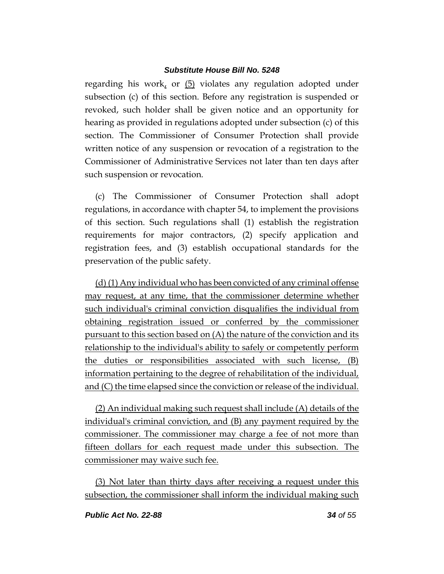regarding his work, or (5) violates any regulation adopted under subsection (c) of this section. Before any registration is suspended or revoked, such holder shall be given notice and an opportunity for hearing as provided in regulations adopted under subsection (c) of this section. The Commissioner of Consumer Protection shall provide written notice of any suspension or revocation of a registration to the Commissioner of Administrative Services not later than ten days after such suspension or revocation.

(c) The Commissioner of Consumer Protection shall adopt regulations, in accordance with chapter 54, to implement the provisions of this section. Such regulations shall (1) establish the registration requirements for major contractors, (2) specify application and registration fees, and (3) establish occupational standards for the preservation of the public safety.

(d) (1) Any individual who has been convicted of any criminal offense may request, at any time, that the commissioner determine whether such individual's criminal conviction disqualifies the individual from obtaining registration issued or conferred by the commissioner pursuant to this section based on (A) the nature of the conviction and its relationship to the individual's ability to safely or competently perform the duties or responsibilities associated with such license, (B) information pertaining to the degree of rehabilitation of the individual, and (C) the time elapsed since the conviction or release of the individual.

(2) An individual making such request shall include (A) details of the individual's criminal conviction, and (B) any payment required by the commissioner. The commissioner may charge a fee of not more than fifteen dollars for each request made under this subsection. The commissioner may waive such fee.

(3) Not later than thirty days after receiving a request under this subsection, the commissioner shall inform the individual making such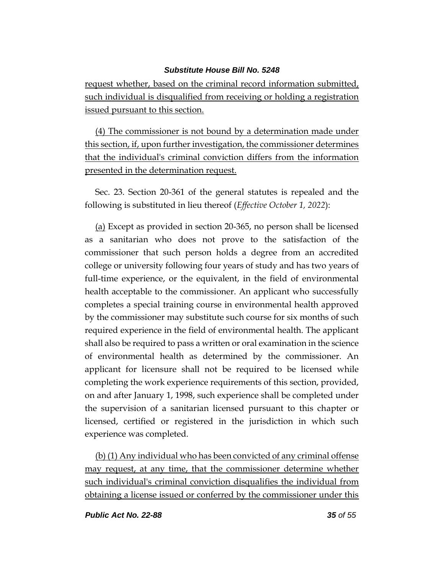request whether, based on the criminal record information submitted, such individual is disqualified from receiving or holding a registration issued pursuant to this section.

(4) The commissioner is not bound by a determination made under this section, if, upon further investigation, the commissioner determines that the individual's criminal conviction differs from the information presented in the determination request.

Sec. 23. Section 20-361 of the general statutes is repealed and the following is substituted in lieu thereof (*Effective October 1, 2022*):

(a) Except as provided in section 20-365, no person shall be licensed as a sanitarian who does not prove to the satisfaction of the commissioner that such person holds a degree from an accredited college or university following four years of study and has two years of full-time experience, or the equivalent, in the field of environmental health acceptable to the commissioner. An applicant who successfully completes a special training course in environmental health approved by the commissioner may substitute such course for six months of such required experience in the field of environmental health. The applicant shall also be required to pass a written or oral examination in the science of environmental health as determined by the commissioner. An applicant for licensure shall not be required to be licensed while completing the work experience requirements of this section, provided, on and after January 1, 1998, such experience shall be completed under the supervision of a sanitarian licensed pursuant to this chapter or licensed, certified or registered in the jurisdiction in which such experience was completed.

(b) (1) Any individual who has been convicted of any criminal offense may request, at any time, that the commissioner determine whether such individual's criminal conviction disqualifies the individual from obtaining a license issued or conferred by the commissioner under this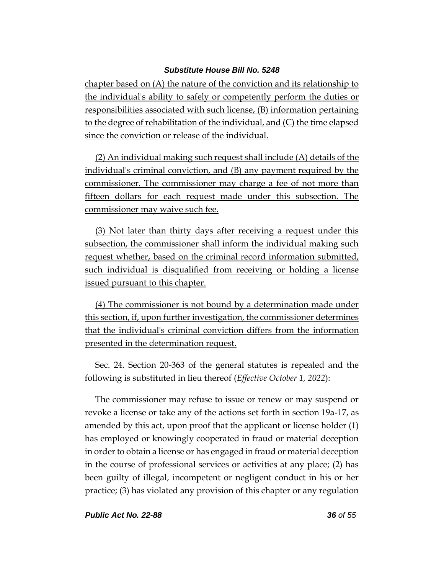chapter based on (A) the nature of the conviction and its relationship to the individual's ability to safely or competently perform the duties or responsibilities associated with such license, (B) information pertaining to the degree of rehabilitation of the individual, and (C) the time elapsed since the conviction or release of the individual.

(2) An individual making such request shall include (A) details of the individual's criminal conviction, and (B) any payment required by the commissioner. The commissioner may charge a fee of not more than fifteen dollars for each request made under this subsection. The commissioner may waive such fee.

(3) Not later than thirty days after receiving a request under this subsection, the commissioner shall inform the individual making such request whether, based on the criminal record information submitted, such individual is disqualified from receiving or holding a license issued pursuant to this chapter.

(4) The commissioner is not bound by a determination made under this section, if, upon further investigation, the commissioner determines that the individual's criminal conviction differs from the information presented in the determination request.

Sec. 24. Section 20-363 of the general statutes is repealed and the following is substituted in lieu thereof (*Effective October 1, 2022*):

The commissioner may refuse to issue or renew or may suspend or revoke a license or take any of the actions set forth in section 19a-17, as amended by this act, upon proof that the applicant or license holder (1) has employed or knowingly cooperated in fraud or material deception in order to obtain a license or has engaged in fraud or material deception in the course of professional services or activities at any place; (2) has been guilty of illegal, incompetent or negligent conduct in his or her practice; (3) has violated any provision of this chapter or any regulation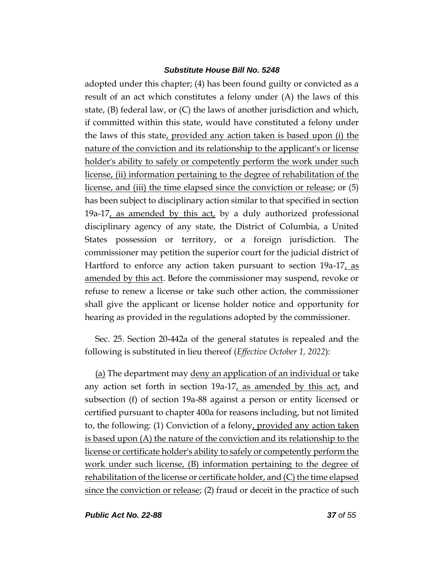adopted under this chapter; (4) has been found guilty or convicted as a result of an act which constitutes a felony under (A) the laws of this state, (B) federal law, or (C) the laws of another jurisdiction and which, if committed within this state, would have constituted a felony under the laws of this state, provided any action taken is based upon (i) the nature of the conviction and its relationship to the applicant's or license holder's ability to safely or competently perform the work under such license, (ii) information pertaining to the degree of rehabilitation of the license, and (iii) the time elapsed since the conviction or release; or (5) has been subject to disciplinary action similar to that specified in section 19a-17, as amended by this act, by a duly authorized professional disciplinary agency of any state, the District of Columbia, a United States possession or territory, or a foreign jurisdiction. The commissioner may petition the superior court for the judicial district of Hartford to enforce any action taken pursuant to section 19a-17, as amended by this act. Before the commissioner may suspend, revoke or refuse to renew a license or take such other action, the commissioner shall give the applicant or license holder notice and opportunity for hearing as provided in the regulations adopted by the commissioner.

Sec. 25. Section 20-442a of the general statutes is repealed and the following is substituted in lieu thereof (*Effective October 1, 2022*):

(a) The department may deny an application of an individual or take any action set forth in section 19a-17, as amended by this act, and subsection (f) of section 19a-88 against a person or entity licensed or certified pursuant to chapter 400a for reasons including, but not limited to, the following: (1) Conviction of a felony, provided any action taken is based upon (A) the nature of the conviction and its relationship to the license or certificate holder's ability to safely or competently perform the work under such license, (B) information pertaining to the degree of rehabilitation of the license or certificate holder, and (C) the time elapsed since the conviction or release; (2) fraud or deceit in the practice of such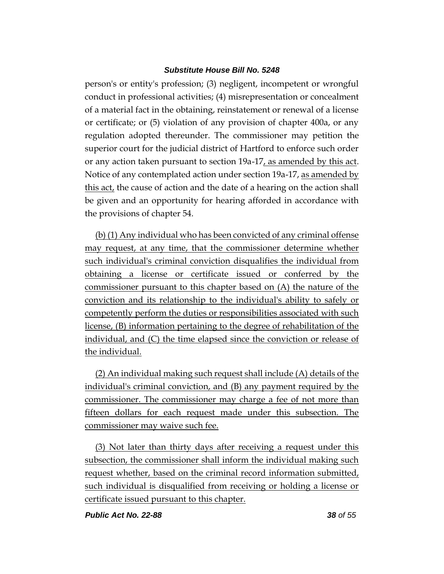person's or entity's profession; (3) negligent, incompetent or wrongful conduct in professional activities; (4) misrepresentation or concealment of a material fact in the obtaining, reinstatement or renewal of a license or certificate; or (5) violation of any provision of chapter 400a, or any regulation adopted thereunder. The commissioner may petition the superior court for the judicial district of Hartford to enforce such order or any action taken pursuant to section 19a-17, as amended by this act. Notice of any contemplated action under section 19a-17, as amended by this act, the cause of action and the date of a hearing on the action shall be given and an opportunity for hearing afforded in accordance with the provisions of chapter 54.

(b) (1) Any individual who has been convicted of any criminal offense may request, at any time, that the commissioner determine whether such individual's criminal conviction disqualifies the individual from obtaining a license or certificate issued or conferred by the commissioner pursuant to this chapter based on (A) the nature of the conviction and its relationship to the individual's ability to safely or competently perform the duties or responsibilities associated with such license, (B) information pertaining to the degree of rehabilitation of the individual, and (C) the time elapsed since the conviction or release of the individual.

(2) An individual making such request shall include (A) details of the individual's criminal conviction, and (B) any payment required by the commissioner. The commissioner may charge a fee of not more than fifteen dollars for each request made under this subsection. The commissioner may waive such fee.

(3) Not later than thirty days after receiving a request under this subsection, the commissioner shall inform the individual making such request whether, based on the criminal record information submitted, such individual is disqualified from receiving or holding a license or certificate issued pursuant to this chapter.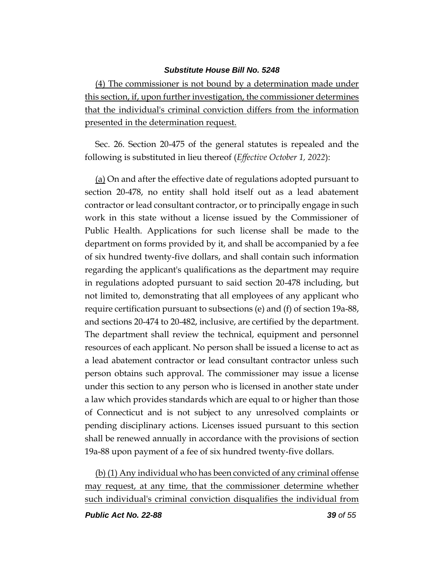(4) The commissioner is not bound by a determination made under this section, if, upon further investigation, the commissioner determines that the individual's criminal conviction differs from the information presented in the determination request.

Sec. 26. Section 20-475 of the general statutes is repealed and the following is substituted in lieu thereof (*Effective October 1, 2022*):

(a) On and after the effective date of regulations adopted pursuant to section 20-478, no entity shall hold itself out as a lead abatement contractor or lead consultant contractor, or to principally engage in such work in this state without a license issued by the Commissioner of Public Health. Applications for such license shall be made to the department on forms provided by it, and shall be accompanied by a fee of six hundred twenty-five dollars, and shall contain such information regarding the applicant's qualifications as the department may require in regulations adopted pursuant to said section 20-478 including, but not limited to, demonstrating that all employees of any applicant who require certification pursuant to subsections (e) and (f) of section 19a-88, and sections 20-474 to 20-482, inclusive, are certified by the department. The department shall review the technical, equipment and personnel resources of each applicant. No person shall be issued a license to act as a lead abatement contractor or lead consultant contractor unless such person obtains such approval. The commissioner may issue a license under this section to any person who is licensed in another state under a law which provides standards which are equal to or higher than those of Connecticut and is not subject to any unresolved complaints or pending disciplinary actions. Licenses issued pursuant to this section shall be renewed annually in accordance with the provisions of section 19a-88 upon payment of a fee of six hundred twenty-five dollars.

(b) (1) Any individual who has been convicted of any criminal offense may request, at any time, that the commissioner determine whether such individual's criminal conviction disqualifies the individual from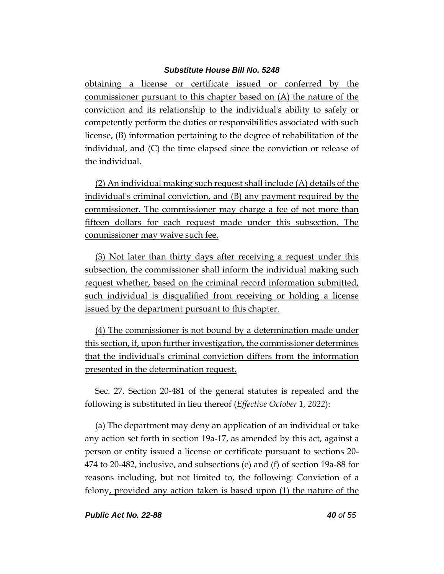obtaining a license or certificate issued or conferred by the commissioner pursuant to this chapter based on (A) the nature of the conviction and its relationship to the individual's ability to safely or competently perform the duties or responsibilities associated with such license, (B) information pertaining to the degree of rehabilitation of the individual, and (C) the time elapsed since the conviction or release of the individual.

(2) An individual making such request shall include (A) details of the individual's criminal conviction, and (B) any payment required by the commissioner. The commissioner may charge a fee of not more than fifteen dollars for each request made under this subsection. The commissioner may waive such fee.

(3) Not later than thirty days after receiving a request under this subsection, the commissioner shall inform the individual making such request whether, based on the criminal record information submitted, such individual is disqualified from receiving or holding a license issued by the department pursuant to this chapter.

(4) The commissioner is not bound by a determination made under this section, if, upon further investigation, the commissioner determines that the individual's criminal conviction differs from the information presented in the determination request.

Sec. 27. Section 20-481 of the general statutes is repealed and the following is substituted in lieu thereof (*Effective October 1, 2022*):

(a) The department may deny an application of an individual or take any action set forth in section 19a-17, as amended by this act, against a person or entity issued a license or certificate pursuant to sections 20- 474 to 20-482, inclusive, and subsections (e) and (f) of section 19a-88 for reasons including, but not limited to, the following: Conviction of a felony, provided any action taken is based upon (1) the nature of the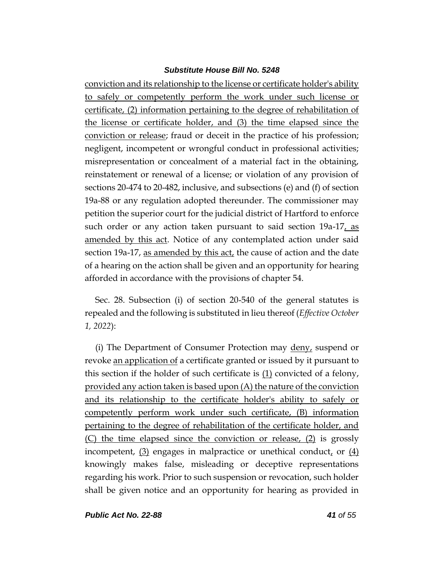conviction and its relationship to the license or certificate holder's ability to safely or competently perform the work under such license or certificate, (2) information pertaining to the degree of rehabilitation of the license or certificate holder, and (3) the time elapsed since the conviction or release; fraud or deceit in the practice of his profession; negligent, incompetent or wrongful conduct in professional activities; misrepresentation or concealment of a material fact in the obtaining, reinstatement or renewal of a license; or violation of any provision of sections 20-474 to 20-482, inclusive, and subsections (e) and (f) of section 19a-88 or any regulation adopted thereunder. The commissioner may petition the superior court for the judicial district of Hartford to enforce such order or any action taken pursuant to said section  $19a-17$ , as amended by this act. Notice of any contemplated action under said section 19a-17, as amended by this act, the cause of action and the date of a hearing on the action shall be given and an opportunity for hearing afforded in accordance with the provisions of chapter 54.

Sec. 28. Subsection (i) of section 20-540 of the general statutes is repealed and the following is substituted in lieu thereof (*Effective October 1, 2022*):

(i) The Department of Consumer Protection may deny, suspend or revoke an application of a certificate granted or issued by it pursuant to this section if the holder of such certificate is  $(1)$  convicted of a felony, provided any action taken is based upon (A) the nature of the conviction and its relationship to the certificate holder's ability to safely or competently perform work under such certificate, (B) information pertaining to the degree of rehabilitation of the certificate holder, and (C) the time elapsed since the conviction or release, (2) is grossly incompetent,  $(3)$  engages in malpractice or unethical conduct, or  $(4)$ knowingly makes false, misleading or deceptive representations regarding his work. Prior to such suspension or revocation, such holder shall be given notice and an opportunity for hearing as provided in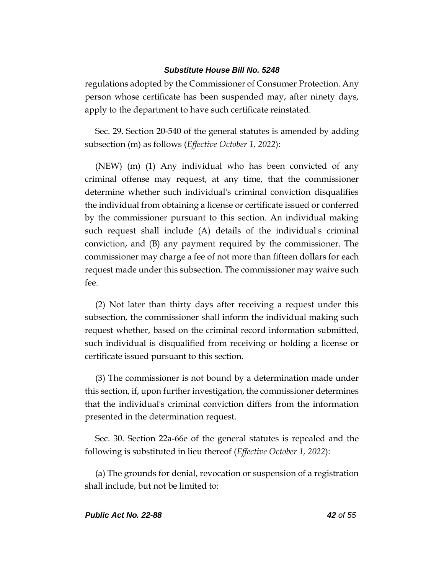regulations adopted by the Commissioner of Consumer Protection. Any person whose certificate has been suspended may, after ninety days, apply to the department to have such certificate reinstated.

Sec. 29. Section 20-540 of the general statutes is amended by adding subsection (m) as follows (*Effective October 1, 2022*):

(NEW) (m) (1) Any individual who has been convicted of any criminal offense may request, at any time, that the commissioner determine whether such individual's criminal conviction disqualifies the individual from obtaining a license or certificate issued or conferred by the commissioner pursuant to this section. An individual making such request shall include (A) details of the individual's criminal conviction, and (B) any payment required by the commissioner. The commissioner may charge a fee of not more than fifteen dollars for each request made under this subsection. The commissioner may waive such fee.

(2) Not later than thirty days after receiving a request under this subsection, the commissioner shall inform the individual making such request whether, based on the criminal record information submitted, such individual is disqualified from receiving or holding a license or certificate issued pursuant to this section.

(3) The commissioner is not bound by a determination made under this section, if, upon further investigation, the commissioner determines that the individual's criminal conviction differs from the information presented in the determination request.

Sec. 30. Section 22a-66e of the general statutes is repealed and the following is substituted in lieu thereof (*Effective October 1, 2022*):

(a) The grounds for denial, revocation or suspension of a registration shall include, but not be limited to: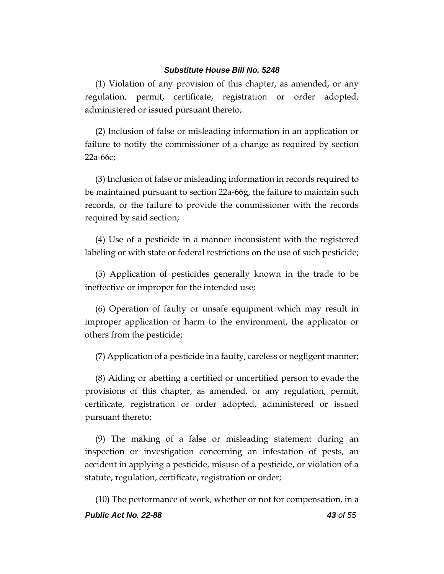(1) Violation of any provision of this chapter, as amended, or any regulation, permit, certificate, registration or order adopted, administered or issued pursuant thereto;

(2) Inclusion of false or misleading information in an application or failure to notify the commissioner of a change as required by section 22a-66c;

(3) Inclusion of false or misleading information in records required to be maintained pursuant to section 22a-66g, the failure to maintain such records, or the failure to provide the commissioner with the records required by said section;

(4) Use of a pesticide in a manner inconsistent with the registered labeling or with state or federal restrictions on the use of such pesticide;

(5) Application of pesticides generally known in the trade to be ineffective or improper for the intended use;

(6) Operation of faulty or unsafe equipment which may result in improper application or harm to the environment, the applicator or others from the pesticide;

(7) Application of a pesticide in a faulty, careless or negligent manner;

(8) Aiding or abetting a certified or uncertified person to evade the provisions of this chapter, as amended, or any regulation, permit, certificate, registration or order adopted, administered or issued pursuant thereto;

(9) The making of a false or misleading statement during an inspection or investigation concerning an infestation of pests, an accident in applying a pesticide, misuse of a pesticide, or violation of a statute, regulation, certificate, registration or order;

*Public Act No. 22-88 43 of 55* (10) The performance of work, whether or not for compensation, in a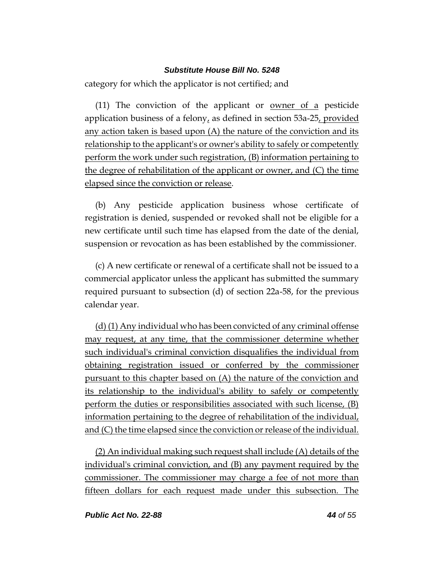category for which the applicator is not certified; and

(11) The conviction of the applicant or <u>owner of a</u> pesticide application business of a felony, as defined in section  $53a-25$ , provided any action taken is based upon (A) the nature of the conviction and its relationship to the applicant's or owner's ability to safely or competently perform the work under such registration, (B) information pertaining to the degree of rehabilitation of the applicant or owner, and (C) the time elapsed since the conviction or release.

(b) Any pesticide application business whose certificate of registration is denied, suspended or revoked shall not be eligible for a new certificate until such time has elapsed from the date of the denial, suspension or revocation as has been established by the commissioner.

(c) A new certificate or renewal of a certificate shall not be issued to a commercial applicator unless the applicant has submitted the summary required pursuant to subsection (d) of section 22a-58, for the previous calendar year.

(d) (1) Any individual who has been convicted of any criminal offense may request, at any time, that the commissioner determine whether such individual's criminal conviction disqualifies the individual from obtaining registration issued or conferred by the commissioner pursuant to this chapter based on (A) the nature of the conviction and its relationship to the individual's ability to safely or competently perform the duties or responsibilities associated with such license, (B) information pertaining to the degree of rehabilitation of the individual, and (C) the time elapsed since the conviction or release of the individual.

(2) An individual making such request shall include (A) details of the individual's criminal conviction, and (B) any payment required by the commissioner. The commissioner may charge a fee of not more than fifteen dollars for each request made under this subsection. The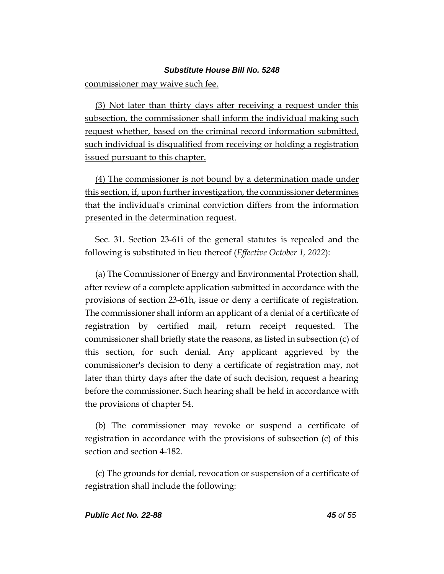commissioner may waive such fee.

(3) Not later than thirty days after receiving a request under this subsection, the commissioner shall inform the individual making such request whether, based on the criminal record information submitted, such individual is disqualified from receiving or holding a registration issued pursuant to this chapter.

(4) The commissioner is not bound by a determination made under this section, if, upon further investigation, the commissioner determines that the individual's criminal conviction differs from the information presented in the determination request.

Sec. 31. Section 23-61i of the general statutes is repealed and the following is substituted in lieu thereof (*Effective October 1, 2022*):

(a) The Commissioner of Energy and Environmental Protection shall, after review of a complete application submitted in accordance with the provisions of section 23-61h, issue or deny a certificate of registration. The commissioner shall inform an applicant of a denial of a certificate of registration by certified mail, return receipt requested. The commissioner shall briefly state the reasons, as listed in subsection (c) of this section, for such denial. Any applicant aggrieved by the commissioner's decision to deny a certificate of registration may, not later than thirty days after the date of such decision, request a hearing before the commissioner. Such hearing shall be held in accordance with the provisions of chapter 54.

(b) The commissioner may revoke or suspend a certificate of registration in accordance with the provisions of subsection (c) of this section and section 4-182.

(c) The grounds for denial, revocation or suspension of a certificate of registration shall include the following: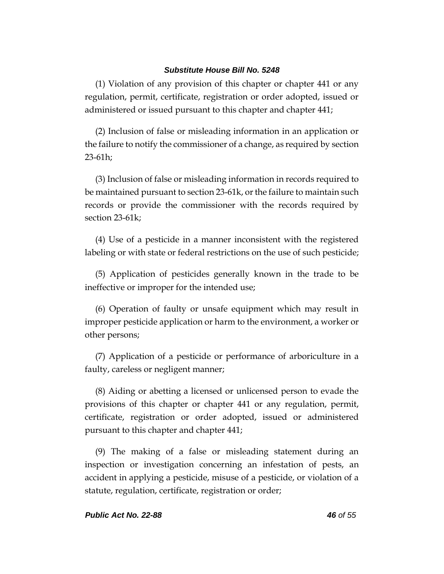(1) Violation of any provision of this chapter or chapter 441 or any regulation, permit, certificate, registration or order adopted, issued or administered or issued pursuant to this chapter and chapter 441;

(2) Inclusion of false or misleading information in an application or the failure to notify the commissioner of a change, as required by section 23-61h;

(3) Inclusion of false or misleading information in records required to be maintained pursuant to section 23-61k, or the failure to maintain such records or provide the commissioner with the records required by section 23-61k;

(4) Use of a pesticide in a manner inconsistent with the registered labeling or with state or federal restrictions on the use of such pesticide;

(5) Application of pesticides generally known in the trade to be ineffective or improper for the intended use;

(6) Operation of faulty or unsafe equipment which may result in improper pesticide application or harm to the environment, a worker or other persons;

(7) Application of a pesticide or performance of arboriculture in a faulty, careless or negligent manner;

(8) Aiding or abetting a licensed or unlicensed person to evade the provisions of this chapter or chapter 441 or any regulation, permit, certificate, registration or order adopted, issued or administered pursuant to this chapter and chapter 441;

(9) The making of a false or misleading statement during an inspection or investigation concerning an infestation of pests, an accident in applying a pesticide, misuse of a pesticide, or violation of a statute, regulation, certificate, registration or order;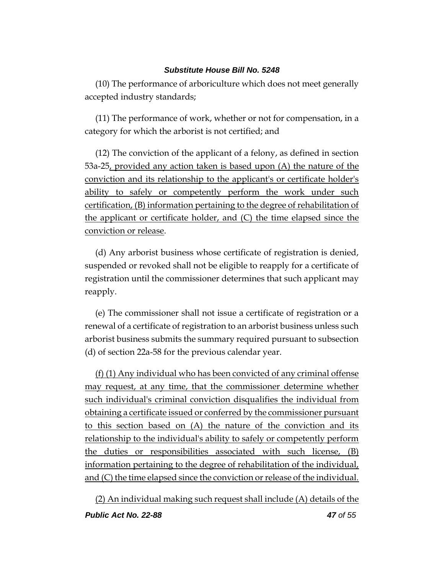(10) The performance of arboriculture which does not meet generally accepted industry standards;

(11) The performance of work, whether or not for compensation, in a category for which the arborist is not certified; and

(12) The conviction of the applicant of a felony, as defined in section 53a-25, provided any action taken is based upon (A) the nature of the conviction and its relationship to the applicant's or certificate holder's ability to safely or competently perform the work under such certification, (B) information pertaining to the degree of rehabilitation of the applicant or certificate holder, and (C) the time elapsed since the conviction or release.

(d) Any arborist business whose certificate of registration is denied, suspended or revoked shall not be eligible to reapply for a certificate of registration until the commissioner determines that such applicant may reapply.

(e) The commissioner shall not issue a certificate of registration or a renewal of a certificate of registration to an arborist business unless such arborist business submits the summary required pursuant to subsection (d) of section 22a-58 for the previous calendar year.

(f) (1) Any individual who has been convicted of any criminal offense may request, at any time, that the commissioner determine whether such individual's criminal conviction disqualifies the individual from obtaining a certificate issued or conferred by the commissioner pursuant to this section based on (A) the nature of the conviction and its relationship to the individual's ability to safely or competently perform the duties or responsibilities associated with such license, (B) information pertaining to the degree of rehabilitation of the individual, and (C) the time elapsed since the conviction or release of the individual.

(2) An individual making such request shall include (A) details of the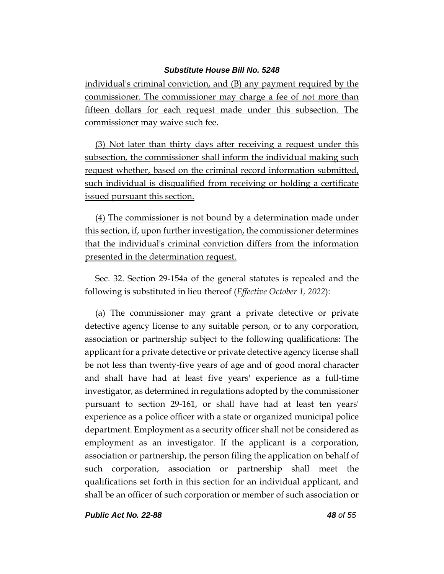individual's criminal conviction, and (B) any payment required by the commissioner. The commissioner may charge a fee of not more than fifteen dollars for each request made under this subsection. The commissioner may waive such fee.

(3) Not later than thirty days after receiving a request under this subsection, the commissioner shall inform the individual making such request whether, based on the criminal record information submitted, such individual is disqualified from receiving or holding a certificate issued pursuant this section.

(4) The commissioner is not bound by a determination made under this section, if, upon further investigation, the commissioner determines that the individual's criminal conviction differs from the information presented in the determination request.

Sec. 32. Section 29-154a of the general statutes is repealed and the following is substituted in lieu thereof (*Effective October 1, 2022*):

(a) The commissioner may grant a private detective or private detective agency license to any suitable person, or to any corporation, association or partnership subject to the following qualifications: The applicant for a private detective or private detective agency license shall be not less than twenty-five years of age and of good moral character and shall have had at least five years' experience as a full-time investigator, as determined in regulations adopted by the commissioner pursuant to section 29-161, or shall have had at least ten years' experience as a police officer with a state or organized municipal police department. Employment as a security officer shall not be considered as employment as an investigator. If the applicant is a corporation, association or partnership, the person filing the application on behalf of such corporation, association or partnership shall meet the qualifications set forth in this section for an individual applicant, and shall be an officer of such corporation or member of such association or

*Public Act No. 22-88 48 of 55*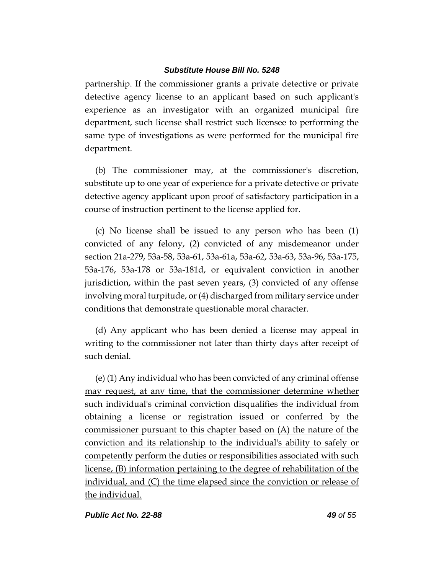partnership. If the commissioner grants a private detective or private detective agency license to an applicant based on such applicant's experience as an investigator with an organized municipal fire department, such license shall restrict such licensee to performing the same type of investigations as were performed for the municipal fire department.

(b) The commissioner may, at the commissioner's discretion, substitute up to one year of experience for a private detective or private detective agency applicant upon proof of satisfactory participation in a course of instruction pertinent to the license applied for.

(c) No license shall be issued to any person who has been (1) convicted of any felony, (2) convicted of any misdemeanor under section 21a-279, 53a-58, 53a-61, 53a-61a, 53a-62, 53a-63, 53a-96, 53a-175, 53a-176, 53a-178 or 53a-181d, or equivalent conviction in another jurisdiction, within the past seven years, (3) convicted of any offense involving moral turpitude, or (4) discharged from military service under conditions that demonstrate questionable moral character.

(d) Any applicant who has been denied a license may appeal in writing to the commissioner not later than thirty days after receipt of such denial.

(e) (1) Any individual who has been convicted of any criminal offense may request, at any time, that the commissioner determine whether such individual's criminal conviction disqualifies the individual from obtaining a license or registration issued or conferred by the commissioner pursuant to this chapter based on (A) the nature of the conviction and its relationship to the individual's ability to safely or competently perform the duties or responsibilities associated with such license, (B) information pertaining to the degree of rehabilitation of the individual, and (C) the time elapsed since the conviction or release of the individual.

*Public Act No. 22-88 49 of 55*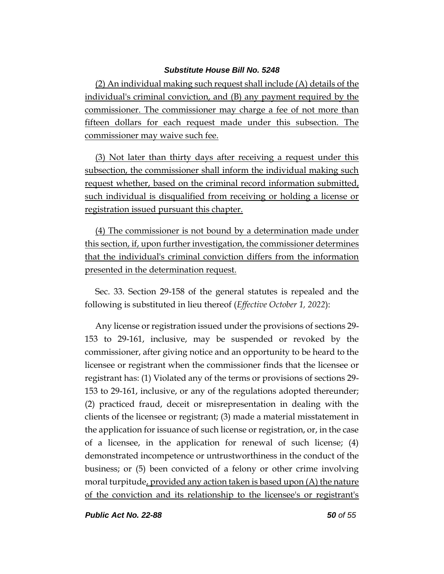(2) An individual making such request shall include (A) details of the individual's criminal conviction, and (B) any payment required by the commissioner. The commissioner may charge a fee of not more than fifteen dollars for each request made under this subsection. The commissioner may waive such fee.

(3) Not later than thirty days after receiving a request under this subsection, the commissioner shall inform the individual making such request whether, based on the criminal record information submitted, such individual is disqualified from receiving or holding a license or registration issued pursuant this chapter.

(4) The commissioner is not bound by a determination made under this section, if, upon further investigation, the commissioner determines that the individual's criminal conviction differs from the information presented in the determination request.

Sec. 33. Section 29-158 of the general statutes is repealed and the following is substituted in lieu thereof (*Effective October 1, 2022*):

Any license or registration issued under the provisions of sections 29- 153 to 29-161, inclusive, may be suspended or revoked by the commissioner, after giving notice and an opportunity to be heard to the licensee or registrant when the commissioner finds that the licensee or registrant has: (1) Violated any of the terms or provisions of sections 29- 153 to 29-161, inclusive, or any of the regulations adopted thereunder; (2) practiced fraud, deceit or misrepresentation in dealing with the clients of the licensee or registrant; (3) made a material misstatement in the application for issuance of such license or registration, or, in the case of a licensee, in the application for renewal of such license; (4) demonstrated incompetence or untrustworthiness in the conduct of the business; or (5) been convicted of a felony or other crime involving moral turpitude, provided any action taken is based upon (A) the nature of the conviction and its relationship to the licensee's or registrant's

*Public Act No. 22-88 50 of 55*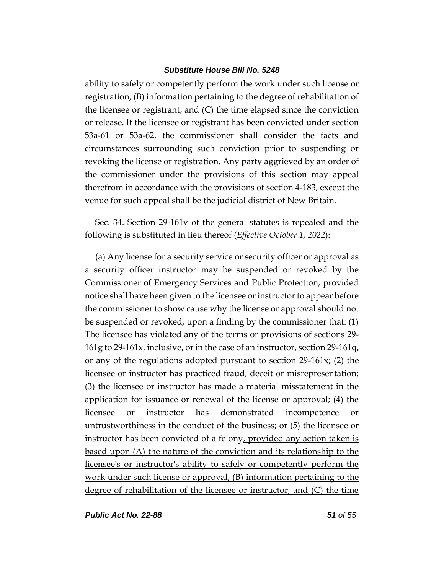ability to safely or competently perform the work under such license or registration, (B) information pertaining to the degree of rehabilitation of the licensee or registrant, and (C) the time elapsed since the conviction or release. If the licensee or registrant has been convicted under section 53a-61 or 53a-62, the commissioner shall consider the facts and circumstances surrounding such conviction prior to suspending or revoking the license or registration. Any party aggrieved by an order of the commissioner under the provisions of this section may appeal therefrom in accordance with the provisions of section 4-183, except the venue for such appeal shall be the judicial district of New Britain.

Sec. 34. Section 29-161v of the general statutes is repealed and the following is substituted in lieu thereof (*Effective October 1, 2022*):

(a) Any license for a security service or security officer or approval as a security officer instructor may be suspended or revoked by the Commissioner of Emergency Services and Public Protection, provided notice shall have been given to the licensee or instructor to appear before the commissioner to show cause why the license or approval should not be suspended or revoked, upon a finding by the commissioner that: (1) The licensee has violated any of the terms or provisions of sections 29- 161g to 29-161x, inclusive, or in the case of an instructor, section 29-161q, or any of the regulations adopted pursuant to section 29-161x; (2) the licensee or instructor has practiced fraud, deceit or misrepresentation; (3) the licensee or instructor has made a material misstatement in the application for issuance or renewal of the license or approval; (4) the licensee or instructor has demonstrated incompetence or untrustworthiness in the conduct of the business; or (5) the licensee or instructor has been convicted of a felony, provided any action taken is based upon (A) the nature of the conviction and its relationship to the licensee's or instructor's ability to safely or competently perform the work under such license or approval, (B) information pertaining to the degree of rehabilitation of the licensee or instructor, and (C) the time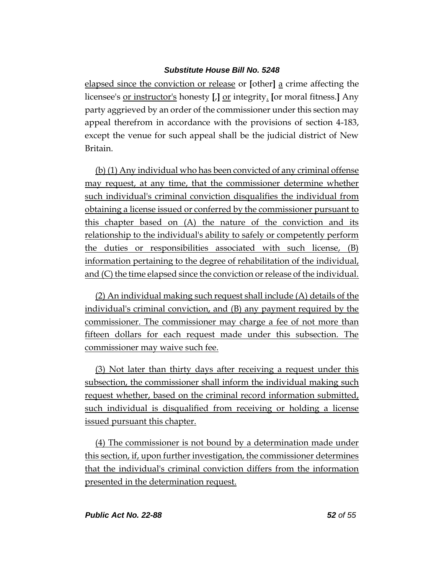elapsed since the conviction or release or **[**other**]** a crime affecting the licensee's or instructor's honesty **[**,**]** or integrity. **[**or moral fitness.**]** Any party aggrieved by an order of the commissioner under this section may appeal therefrom in accordance with the provisions of section 4-183, except the venue for such appeal shall be the judicial district of New Britain.

(b) (1) Any individual who has been convicted of any criminal offense may request, at any time, that the commissioner determine whether such individual's criminal conviction disqualifies the individual from obtaining a license issued or conferred by the commissioner pursuant to this chapter based on (A) the nature of the conviction and its relationship to the individual's ability to safely or competently perform the duties or responsibilities associated with such license, (B) information pertaining to the degree of rehabilitation of the individual, and (C) the time elapsed since the conviction or release of the individual.

(2) An individual making such request shall include (A) details of the individual's criminal conviction, and (B) any payment required by the commissioner. The commissioner may charge a fee of not more than fifteen dollars for each request made under this subsection. The commissioner may waive such fee.

(3) Not later than thirty days after receiving a request under this subsection, the commissioner shall inform the individual making such request whether, based on the criminal record information submitted, such individual is disqualified from receiving or holding a license issued pursuant this chapter.

(4) The commissioner is not bound by a determination made under this section, if, upon further investigation, the commissioner determines that the individual's criminal conviction differs from the information presented in the determination request.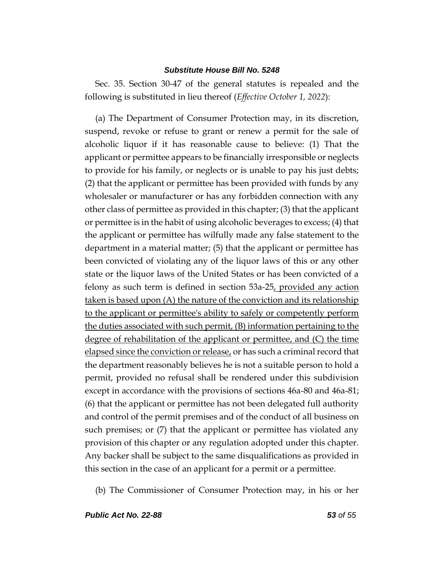Sec. 35. Section 30-47 of the general statutes is repealed and the following is substituted in lieu thereof (*Effective October 1, 2022*):

(a) The Department of Consumer Protection may, in its discretion, suspend, revoke or refuse to grant or renew a permit for the sale of alcoholic liquor if it has reasonable cause to believe: (1) That the applicant or permittee appears to be financially irresponsible or neglects to provide for his family, or neglects or is unable to pay his just debts; (2) that the applicant or permittee has been provided with funds by any wholesaler or manufacturer or has any forbidden connection with any other class of permittee as provided in this chapter; (3) that the applicant or permittee is in the habit of using alcoholic beverages to excess; (4) that the applicant or permittee has wilfully made any false statement to the department in a material matter; (5) that the applicant or permittee has been convicted of violating any of the liquor laws of this or any other state or the liquor laws of the United States or has been convicted of a felony as such term is defined in section 53a-25, provided any action taken is based upon (A) the nature of the conviction and its relationship to the applicant or permittee's ability to safely or competently perform the duties associated with such permit, (B) information pertaining to the degree of rehabilitation of the applicant or permittee, and (C) the time elapsed since the conviction or release, or has such a criminal record that the department reasonably believes he is not a suitable person to hold a permit, provided no refusal shall be rendered under this subdivision except in accordance with the provisions of sections 46a-80 and 46a-81; (6) that the applicant or permittee has not been delegated full authority and control of the permit premises and of the conduct of all business on such premises; or (7) that the applicant or permittee has violated any provision of this chapter or any regulation adopted under this chapter. Any backer shall be subject to the same disqualifications as provided in this section in the case of an applicant for a permit or a permittee.

(b) The Commissioner of Consumer Protection may, in his or her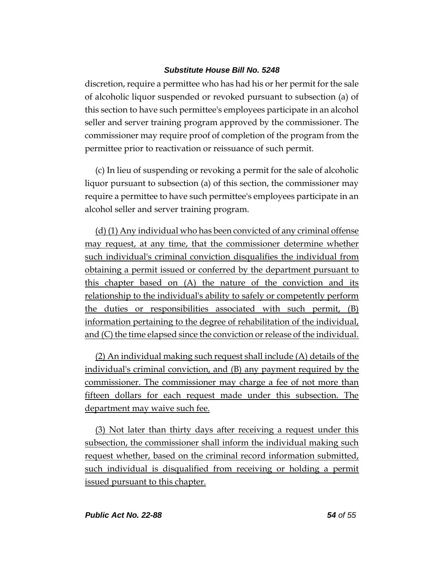discretion, require a permittee who has had his or her permit for the sale of alcoholic liquor suspended or revoked pursuant to subsection (a) of this section to have such permittee's employees participate in an alcohol seller and server training program approved by the commissioner. The commissioner may require proof of completion of the program from the permittee prior to reactivation or reissuance of such permit.

(c) In lieu of suspending or revoking a permit for the sale of alcoholic liquor pursuant to subsection (a) of this section, the commissioner may require a permittee to have such permittee's employees participate in an alcohol seller and server training program.

(d) (1) Any individual who has been convicted of any criminal offense may request, at any time, that the commissioner determine whether such individual's criminal conviction disqualifies the individual from obtaining a permit issued or conferred by the department pursuant to this chapter based on (A) the nature of the conviction and its relationship to the individual's ability to safely or competently perform the duties or responsibilities associated with such permit, (B) information pertaining to the degree of rehabilitation of the individual, and (C) the time elapsed since the conviction or release of the individual.

(2) An individual making such request shall include (A) details of the individual's criminal conviction, and (B) any payment required by the commissioner. The commissioner may charge a fee of not more than fifteen dollars for each request made under this subsection. The department may waive such fee.

(3) Not later than thirty days after receiving a request under this subsection, the commissioner shall inform the individual making such request whether, based on the criminal record information submitted, such individual is disqualified from receiving or holding a permit issued pursuant to this chapter.